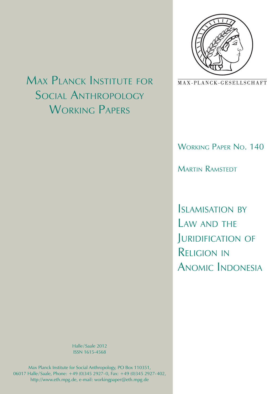

MAX-PLANCK-GESELLSCHAFT

## Working Paper No. 140

Martin Ramstedt

Islamisation by LAW AND THE JURIDIFICATION OF Religion in Anomic Indonesia

# Max Planck Institute for Social Anthropology WORKING PAPERS

Halle/Saale 2012 ISSN 1615-4568

Max Planck Institute for Social Anthropology, PO Box 110351, 06017 Halle/ Saale, Phone: +49 (0)345 2927-0, Fax: +49 (0)345 2927-402, http://www.eth.mpg.de, e-mail: workingpaper@eth.mpg.de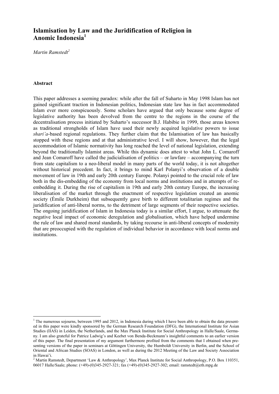### **Islamisation by Law and the Juridification of Religion in Anomic Indonesia<sup>1</sup>**

*Martin Ramstedt2*

#### **Abstract**

<u>.</u>

This paper addresses a seeming paradox: while after the fall of Suharto in May 1998 Islam has not gained significant traction in Indonesian politics, Indonesian state law has in fact accommodated Islam ever more conspicuously. Some scholars have argued that only because some degree of legislative authority has been devolved from the centre to the regions in the course of the decentralisation process initiated by Suharto's successor B.J. Habibie in 1999, those areas known as traditional strongholds of Islam have used their newly acquired legislative powers to issue *shari'a*-based regional regulations. They further claim that the Islamisation of law has basically stopped with these regions and at that administrative level. I will show, however, that the legal accommodation of Islamic normativity has long reached the level of national legislation, extending beyond the traditionally Islamist areas. While this dynamic does attest to what John L. Comaroff and Jean Comaroff have called the judicialisation of politics – or lawfare – accompanying the turn from state capitalism to a neo-liberal model in many parts of the world today, it is not altogether without historical precedent. In fact, it brings to mind Karl Polanyi's observation of a double movement of law in 19th and early 20th century Europe. Polanyi pointed to the crucial role of law both in the dis-embedding of the economy from local norms and institutions and in attempts of reembedding it. During the rise of capitalism in 19th and early 20th century Europe, the increasing liberalisation of the market through the enactment of respective legislation created an anomic society (Émile Durkheim) that subsequently gave birth to different totalitarian regimes and the juridification of anti-liberal norms, to the detriment of large segments of their respective societies. The ongoing juridification of Islam in Indonesia today is a similar effort, I argue, to attenuate the negative local impact of economic deregulation and globalisation, which have helped undermine the rule of law and shared moral standards, by taking recourse in anti-liberal concepts of modernity that are preoccupied with the regulation of individual behavior in accordance with local norms and institutions.

<sup>&</sup>lt;sup>1</sup> The numerous sojourns, between 1995 and 2012, in Indonesia during which I have been able to obtain the data presented in this paper were kindly sponsored by the German Research Foundation (DFG), the International Institute for Asian Studies (IIAS) in Leiden, the Netherlands, and the Max Planck Institute for Social Anthropology in Halle/Saale, Germany. I am also grateful for Patrice Ladwig's and Keebet von Benda-Beckmann's insightful comments to an earlier version of this paper. The final presentation of my argument furthermore profited from the comments that I obtained when presenting versions of the paper in seminars at Göttingen University, the Humboldt University in Berlin, and the School of Oriental and African Studies (SOAS) in London, as well as during the 2012 Meeting of the Law and Society Association in Hawai'i.

<sup>&</sup>lt;sup>2</sup> Martin Ramstedt, Department 'Law & Anthropology', Max Planck Institute for Social Anthropology, P.O. Box 110351, 06017 Halle/Saale; phone: (+49)-(0)345-2927-321; fax (+49)-(0)345-2927-302; email: ramstedt@eth.mpg.de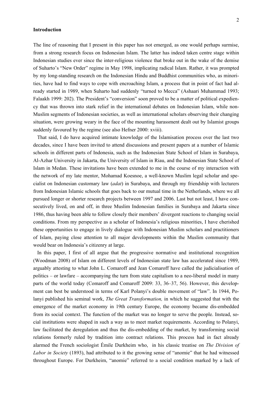#### **Introduction**

The line of reasoning that I present in this paper has not emerged, as one would perhaps surmise, from a strong research focus on Indonesian Islam. The latter has indeed taken centre stage within Indonesian studies ever since the inter-religious violence that broke out in the wake of the demise of Suharto's "New Order" regime in May 1998, implicating radical Islam. Rather, it was prompted by my long-standing research on the Indonesian Hindu and Buddhist communities who, as minorities, have had to find ways to cope with encroaching Islam, a process that in point of fact had already started in 1989, when Suharto had suddenly "turned to Mecca" (Ashaari Muhammad 1993; Falaakh 1999: 202). The President's "conversion" soon proved to be a matter of political expediency that was thrown into stark relief in the international debates on Indonesian Islam, while non-Muslim segments of Indonesian societies, as well as international scholars observing their changing situation, were growing weary in the face of the mounting harassment dealt out by Islamist groups suddenly favoured by the regime (see also Hefner 2000: xviii).

That said, I do have acquired intimate knowledge of the Islamisation process over the last two decades, since I have been invited to attend discussions and present papers at a number of Islamic schools in different parts of Indonesia, such as the Indonesian State School of Islam in Surabaya, Al-Azhar University in Jakarta, the University of Islam in Riau, and the Indonesian State School of Islam in Medan. These invitations have been extended to me in the course of my interaction with the network of my late mentor, Mohamad Koesnoe, a well-known Muslim legal scholar and specialist on Indonesian customary law (*adat*) in Surabaya, and through my friendship with lecturers from Indonesian Islamic schools that goes back to our mutual time in the Netherlands, where we all pursued longer or shorter research projects between 1997 and 2006. Last but not least, I have consecutively lived, on and off, in three Muslim Indonesian families in Surabaya and Jakarta since 1986, thus having been able to follow closely their members' divergent reactions to changing social conditions. From my perspective as a scholar of Indonesia's religious minorities, I have cherished these opportunities to engage in lively dialogue with Indonesian Muslim scholars and practitioners of Islam, paying close attention to all major developments within the Muslim community that would bear on Indonesia's citizenry at large.

In this paper, I first of all argue that the progressive normative and institutional recognition (Woodman 2008) of Islam on different levels of Indonesian state law has accelerated since 1989, arguably attesting to what John L. Comaroff and Jean Comaroff have called the judicialisation of politics – or lawfare – accompanying the turn from state capitalism to a neo-liberal model in many parts of the world today (Comaroff and Comaroff 2009: 33, 36–37, 56). However, this development can best be understood in terms of Karl Polanyi's double movement of "law". In 1944, Polanyi published his seminal work, *The Great Transformation,* in which he suggested that with the emergence of the market economy in 19th century Europe, the economy became dis-embedded from its social context. The function of the market was no longer to serve the people. Instead, social institutions were shaped in such a way as to meet market requirements. According to Polanyi, law facilitated the deregulation and thus the dis-embedding of the market, by transforming social relations formerly ruled by tradition into contract relations. This process had in fact already alarmed the French sociologist Émile Durkheim who, in his classic treatise on *The Division of Labor in Society* (1893), had attributed to it the growing sense of "anomie" that he had witnessed throughout Europe. For Durkheim, "anomie" referred to a social condition marked by a lack of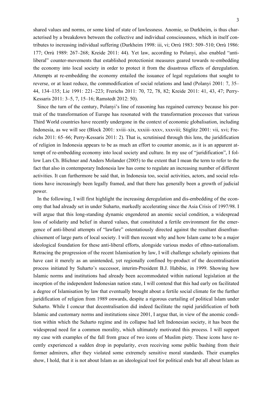shared values and norms, or some kind of state of lawlessness. Anomie, so Durkheim, is thus characterised by a breakdown between the collective and individual consciousness, which in itself contributes to increasing individual suffering (Durkheim 1998: iii, vi; Orrù 1983: 509–510; Orrù 1986: 177; Orrù 1989: 267–268; Kreide 2011: 44). Yet law, according to Polanyi, also enabled "antiliberal" counter-movements that established protectionist measures geared towards re-embedding the economy into local society in order to protect it from the disastrous effects of deregulation. Attempts at re-embedding the economy entailed the issuance of legal regulations that sought to reverse, or at least reduce, the commodification of social relations and land (Polanyi 2001: 7, 35– 44, 134–135; Lie 1991: 221–223; Frerichs 2011: 70, 72, 78, 82; Kreide 2011: 41, 43, 47; Perry-Kessaris 2011: 3–5, 7, 15–16; Ramstedt 2012: 50).

Since the turn of the century, Polanyi's line of reasoning has regained currency because his portrait of the transformation of Europe has resonated with the transformation processes that various Third World countries have recently undergone in the context of economic globalisation, including Indonesia, as we will see (Block 2001: xviii–xix, xxxiii–xxxv, xxxviii; Stiglitz 2001: vii, xvi; Frerichs 2011: 65–66; Perry-Kessaris 2011: 2). That is, scrutinised through this lens, the juridification of religion in Indonesia appears to be as much an effort to counter anomie, as it is an apparent attempt of re-embedding economy into local society and culture. In my use of "juridification", I follow Lars Ch. Blichner and Anders Molander (2005) to the extent that I mean the term to refer to the fact that also in contemporary Indonesia law has come to regulate an increasing number of different activities. It can furthermore be said that, in Indonesia too, social activities, actors, and social relations have increasingly been legally framed, and that there has generally been a growth of judicial power.

In the following, I will first highlight the increasing deregulation and dis-embedding of the economy that had already set in under Suharto, markedly accelerating since the Asia Crisis of 1997/98. I will argue that this long-standing dynamic engendered an anomic social condition, a widespread loss of solidarity and belief in shared values, that constituted a fertile environment for the emergence of anti-liberal attempts of "lawfare" ostentatiously directed against the resultant disenfranchisement of large parts of local society. I will then recount why and how Islam came to be a major ideological foundation for these anti-liberal efforts, alongside various modes of ethno-nationalism. Retracing the progression of the recent Islamisation by law, I will challenge scholarly opinions that have cast it merely as an unintended, yet regionally confined by-product of the decentralisation process initiated by Suharto's successor, interim-President B.J. Habibie, in 1999. Showing how Islamic norms and institutions had already been accommodated within national legislation at the inception of the independent Indonesian nation state, I will contend that this had early on facilitated a degree of Islamisation by law that eventually brought about a fertile social climate for the further juridification of religion from 1989 onwards, despite a rigorous curtailing of political Islam under Suharto. While I concur that decentralisation did indeed facilitate the rapid juridification of both Islamic and customary norms and institutions since 2001, I argue that, in view of the anomic condition within which the Suharto regime and its collapse had left Indonesian society, it has been the widespread need for a common morality, which ultimately motivated this process. I will support my case with examples of the fall from grace of two icons of Muslim piety. These icons have recently experienced a sudden drop in popularity, even receiving some public bashing from their former admirers, after they violated some extremely sensitive moral standards. Their examples show, I hold, that it is not about Islam as an ideological tool for political ends but all about Islam as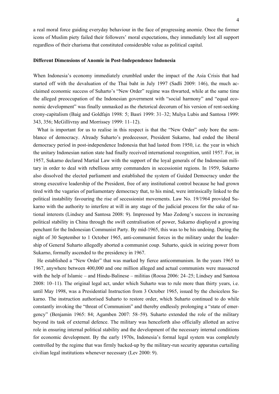a real moral force guiding everyday behaviour in the face of progressing anomie. Once the former icons of Muslim piety failed their followers' moral expectations, they immediately lost all support regardless of their charisma that constituted considerable value as political capital.

#### **Different Dimensions of Anomie in Post-Independence Indonesia**

When Indonesia's economy immediately crumbled under the impact of the Asia Crisis that had started off with the devaluation of the Thai baht in July 1997 (Sadli 2009: 146), the much acclaimed economic success of Suharto's "New Order" regime was thwarted, while at the same time the alleged preoccupation of the Indonesian government with "social harmony" and "equal economic development" was finally unmasked as the rhetorical decorum of his version of rent-seeking crony-capitalism (Baig and Goldfajn 1998: 5; Basri 1999: 31–32; Mulya Lubis and Santosa 1999: 343, 356; McGillivray and Morrissey 1999: 11–12).

What is important for us to realise in this respect is that the "New Order" only bore the semblance of democracy. Already Suharto's predecessor, President Sukarno, had ended the liberal democracy period in post-independence Indonesia that had lasted from 1950, i.e. the year in which the unitary Indonesian nation state had finally received international recognition, until 1957. For, in 1957, Sukarno declared Martial Law with the support of the loyal generals of the Indonesian military in order to deal with rebellious army commanders in secessionist regions. In 1959, Sukarno also dissolved the elected parliament and established the system of Guided Democracy under the strong executive leadership of the President, free of any institutional control because he had grown tired with the vagaries of parliamentary democracy that, to his mind, were intrinsically linked to the political instability favouring the rise of secessionist movements. Law No. 19/1964 provided Sukarno with the authority to interfere at will in any stage of the judicial process for the sake of national interests (Lindsey and Santosa 2008: 9). Impressed by Mao Zedong's success in increasing political stability in China through the swift centralisation of power, Sukarno displayed a growing penchant for the Indonesian Communist Party. By mid-1965, this was to be his undoing. During the night of 30 September to 1 October 1965, anti-communist forces in the military under the leadership of General Suharto allegedly aborted a communist coup. Suharto, quick in seizing power from Sukarno, formally ascended to the presidency in 1967.

He established a "New Order" that was marked by fierce anticommunism. In the years 1965 to 1967, anywhere between 400,000 and one million alleged and actual communists were massacred with the help of Islamic – and Hindu-Balinese – militias (Roosa 2006: 24–25; Lindsey and Santosa 2008: 10–11). The original legal act, under which Suharto was to rule more than thirty years, i.e. until May 1998, was a Presidential Instruction from 3 October 1965, issued by the choiceless Sukarno. The instruction authorised Suharto to restore order, which Suharto continued to do while constantly invoking the "threat of Communism" and thereby endlessly prolonging a "state of emergency" (Benjamin 1965: 84; Agamben 2007: 58–59). Suharto extended the role of the military beyond its task of external defence. The military was henceforth also officially allotted an active role in ensuring internal political stability and the development of the necessary internal conditions for economic development. By the early 1970s, Indonesia's formal legal system was completely controlled by the regime that was firmly backed-up by the military-run security apparatus curtailing civilian legal institutions whenever necessary (Lev 2000: 9).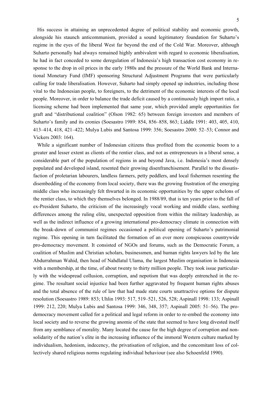His success in attaining an unprecedented degree of political stability and economic growth, alongside his staunch anticommunism, provided a sound legitimatory foundation for Suharto's regime in the eyes of the liberal West far beyond the end of the Cold War. Moreover, although Suharto personally had always remained highly ambivalent with regard to economic liberalisation, he had in fact conceded to some deregulation of Indonesia's high transaction cost economy in response to the drop in oil prices in the early 1980s and the pressure of the World Bank and International Monetary Fund (IMF) sponsoring Structural Adjustment Programs that were particularly calling for trade liberalisation. However, Suharto had simply opened up industries, including those vital to the Indonesian people, to foreigners, to the detriment of the economic interests of the local people. Moreover, in order to balance the trade deficit caused by a continuously high import ratio, a licensing scheme had been implemented that same year, which provided ample opportunities for graft and "distributional coalition" (Olson 1982: 65) between foreign investors and members of Suharto's family and its cronies (Soesastro 1989: 854, 856–858, 863; Liddle 1991: 403, 405, 410, 413–414, 418, 421–422; Mulya Lubis and Santosa 1999: 356; Soesastro 2000: 52–53; Connor and Vickers 2003: 164).

While a significant number of Indonesian citizens thus profited from the economic boom to a greater and lesser extent as clients of the rentier class, and not as entrepreneurs in a liberal sense, a considerable part of the population of regions in and beyond Java, i.e. Indonesia's most densely populated and developed island, resented their growing disenfranchisement. Parallel to the dissatisfaction of proletarian labourers, landless farmers, petty peddlers, and local fishermen resenting the disembedding of the economy from local society, there was the growing frustration of the emerging middle class who increasingly felt thwarted in its economic opportunities by the upper echelons of the rentier class, to which they themselves belonged. In 1988/89, that is ten years prior to the fall of ex-President Suharto, the criticism of the increasingly vocal working and middle class, seething differences among the ruling elite, unexpected opposition from within the military leadership, as well as the indirect influence of a growing international pro-democracy climate in connection with the break-down of communist regimes occasioned a political opening of Suharto's patrimonial regime. This opening in turn facilitated the formation of an ever more conspicuous countrywide pro-democracy movement. It consisted of NGOs and forums, such as the Democratic Forum, a coalition of Muslim and Christian scholars, businessmen, and human rights lawyers led by the late Abdurrahman Wahid, then head of Nahdlatul Ulama, the largest Muslim organisation in Indonesia with a membership, at the time, of about twenty to thirty million people. They took issue particularly with the widespread collusion, corruption, and nepotism that was deeply entrenched in the regime. The resultant social injustice had been further aggravated by frequent human rights abuses and the total absence of the rule of law that had made state courts unattractive options for dispute resolution (Soesastro 1989: 853; Uhlin 1993: 517, 519–521, 526, 528; Aspinall 1998: 133; Aspinall 1999: 212, 220; Mulya Lubis and Santosa 1999: 346, 348, 357; Aspinall 2005: 51–56). The prodemocracy movement called for a political and legal reform in order to re-embed the economy into local society and to reverse the growing anomie of the state that seemed to have long divested itself from any semblance of morality. Many located the cause for the high degree of corruption and nonsolidarity of the nation's elite in the increasing influence of the immoral Western culture marked by individualism, hedonism, indecency, the privatisation of religion, and the concomitant loss of collectively shared religious norms regulating individual behaviour (see also Schoenfeld 1990).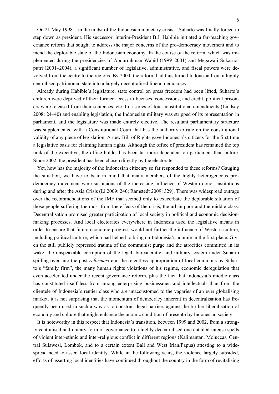On 21 May 1998 – in the midst of the Indonesian monetary crisis – Suharto was finally forced to step down as president. His successor, interim-President B.J. Habibie initiated a far-reaching governance reform that sought to address the major concerns of the pro-democracy movement and to mend the deplorable state of the Indonesian economy. In the course of the reform, which was implemented during the presidencies of Abdurrahman Wahid (1999–2001) and Megawati Sukarnoputri (2001–2004), a significant number of legislative, administrative, and fiscal powers were devolved from the centre to the regions. By 2004, the reform had thus turned Indonesia from a highly centralised patrimonial state into a largely decentralised liberal democracy.

Already during Habibie's legislature, state control on press freedom had been lifted, Suharto's children were deprived of their former access to licenses, concessions, and credit, political prisoners were released from their sentences, etc. In a series of four constitutional amendments (Lindsey 2008: 24–40) and enabling legislation, the Indonesian military was stripped of its representation in parliament, and the legislature was made entirely elective. The resultant parliamentary structure was supplemented with a Constitutional Court that has the authority to rule on the constitutional validity of any piece of legislation. A new Bill of Rights gave Indonesia's citizens for the first time a legislative basis for claiming human rights. Although the office of president has remained the top rank of the executive, the office holder has been far more dependent on parliament than before. Since 2002, the president has been chosen directly by the electorate.

Yet, how has the majority of the Indonesian citizenry so far responded to these reforms? Gauging the situation, we have to bear in mind that many members of the highly heterogeneous prodemocracy movement were suspicious of the increasing influence of Western donor institutions during and after the Asia Crisis (Li 2009: 240; Ramstedt 2009: 329). There was widespread outrage over the recommendations of the IMF that seemed only to exacerbate the deplorable situation of those people suffering the most from the effects of the crisis, the urban poor and the middle class. Decentralisation promised greater participation of local society in political and economic decisionmaking processes. And local electorates everywhere in Indonesia used the legislative means in order to ensure that future economic progress would not further the influence of Western culture, including political culture, which had helped to bring on Indonesia's anomie in the first place. Given the still publicly repressed trauma of the communist purge and the atrocities committed in its wake, the unspeakable corruption of the legal, bureaucratic, and military system under Suharto spilling over into the post-*reformasi* era, the relentless appropriation of local commons by Suharto's "family firm", the many human rights violations of his regime, economic deregulation that even accelerated under the recent governance reform, plus the fact that Indonesia's middle class has constituted itself less from among enterprising businessmen and intellectuals than from the clientele of Indonesia's rentier class who are unaccustomed to the vagaries of an ever globalising market, it is not surprising that the momentum of democracy inherent in decentralisation has frequently been used in such a way as to construct legal barriers against the further liberalisation of economy and culture that might enhance the anomic condition of present-day Indonesian society.

It is noteworthy in this respect that Indonesia's transition, between 1999 and 2002, from a strongly centralised and unitary form of governance to a highly decentralised one entailed intense spells of violent inter-ethnic and inter-religious conflict in different regions (Kalimantan, Moluccas, Central Sulawesi, Lombok, and to a certain extent Bali and West Irian/Papua) attesting to a widespread need to assert local identity. While in the following years, the violence largely subsided, efforts of asserting local identities have continued throughout the country in the form of revitalising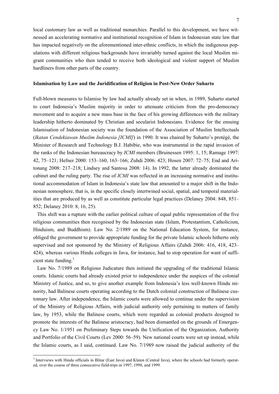local customary law as well as traditional monarchies. Parallel to this development, we have witnessed an accelerating normative and institutional recognition of Islam in Indonesian state law that has impacted negatively on the aforementioned inter-ethnic conflicts, in which the indigenous populations with different religious backgrounds have invariably turned against the local Muslim migrant communities who then tended to receive both ideological and violent support of Muslim hardliners from other parts of the country.

#### **Islamisation by Law and the Juridification of Religion in Post-New Order Suharto**

Full-blown measures to Islamise by law had actually already set in when, in 1989, Suharto started to court Indonesia's Muslim majority in order to attenuate criticism from the pro-democracy movement and to acquire a new mass base in the face of his growing differences with the military leadership hitherto dominated by Christian and secularist Indonesians. Evidence for the ensuing Islamisation of Indonesian society was the foundation of the Association of Muslim Intellectuals (*Ikatan Cendekiawan Muslim Indonesia [ICMI]*) in 1990. It was chaired by Suharto's protégé, the Minister of Research and Technology B.J. Habibie, who was instrumental in the rapid invasion of the ranks of the Indonesian bureaucracy by *ICMI* members (Bruinessen 1995: 1, 15; Ramage 1997: 42, 75–121; Hefner 2000: 153–160, 163–166; Zuhdi 2006: 423; Hosen 2007: 72–75; End and Aritonang 2008: 217–218; Lindsey and Santosa 2008: 14). In 1992, the latter already dominated the cabinet and the ruling party. The rise of *ICMI* was reflected in an increasing normative and institutional accommodation of Islam in Indonesia's state law that amounted to a major shift in the Indonesian nomosphere, that is, in the specific closely intertwined social, spatial, and temporal materialities that are produced by as well as constitute particular legal practices (Delaney 2004: 848, 851– 852; Delaney 2010: 8, 16, 25).

This shift was a rupture with the earlier political culture of equal public representation of the five religious communities then recognised by the Indonesian state (Islam, Protestantism, Catholicism, Hinduism, and Buddhism). Law No. 2/1989 on the National Education System, for instance, obliged the government to provide appropriate funding for the private Islamic schools hitherto only supervised and not sponsored by the Ministry of Religious Affairs (Zuhdi 2006: 416, 418, 423– 424), whereas various Hindu colleges in Java, for instance, had to stop operation for want of sufficient state funding.<sup>3</sup>

Law No. 7/1989 on Religious Judicature then initiated the upgrading of the traditional Islamic courts. Islamic courts had already existed prior to independence under the auspices of the colonial Ministry of Justice, and so, to give another example from Indonesia's less well-known Hindu minority, had Balinese courts operating according to the Dutch colonial construction of Balinese customary law. After independence, the Islamic courts were allowed to continue under the supervision of the Ministry of Religious Affairs, with judicial authority only pertaining to matters of family law, by 1953, while the Balinese courts, which were regarded as colonial products designed to promote the interests of the Balinese aristocracy, had been dismantled on the grounds of Emergency Law No. 1/1951 on Preliminary Steps towards the Unification of the Organization, Authority and Portfolio of the Civil Courts (Lev 2000: 56–59). New national courts were set up instead, while the Islamic courts, as I said, continued. Law No. 7/1989 now raised the judicial authority of the

<sup>&</sup>lt;sup>3</sup> Interviews with Hindu officials in Blitar (East Java) and Klaten (Central Java), where the schools had formerly operated, over the course of three consecutive field-trips in 1997, 1998, and 1999.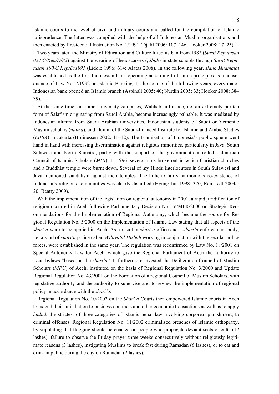Islamic courts to the level of civil and military courts and called for the compilation of Islamic jurisprudence. The latter was compiled with the help of all Indonesian Muslim organisations and then enacted by Presidential Instruction No. 1/1991 (Djalil 2006: 107–146; Hooker 2008: 17–25).

Two years later, the Ministry of Education and Culture lifted its ban from 1982 (*Surat Keputusan 052/C/Kep/D/82*) against the wearing of headscarves (*jilbab*) in state schools through *Surat Keputusan 100/C/Kep/D/1991* (Liddle 1996: 614; Alatas 2008). In the following year, *Bank Muamalat* was established as the first Indonesian bank operating according to Islamic principles as a consequence of Law No. 7/1992 on Islamic Banking. In the course of the following years, every major Indonesian bank opened an Islamic branch (Aspinall 2005: 40; Nurdin 2005: 33; Hooker 2008: 38– 39).

At the same time, on some University campuses, Wahhabi influence, i.e. an extremely puritan form of Salafism originating from Saudi Arabia, became increasingly palpable. It was mediated by Indonesian alumni from Saudi Arabian universities, Indonesian students of Saudi or Yemenite Muslim scholars (*ulama*), and alumni of the Saudi-financed Institute for Islamic and Arabic Studies (*LIPIA*) in Jakarta (Bruinessen 2002: 11–12). The Islamisation of Indonesia's public sphere went hand in hand with increasing discrimination against religious minorities, particularly in Java, South Sulawesi and North Sumatra, partly with the support of the government-controlled Indonesian Council of Islamic Scholars (*MUI*). In 1996, several riots broke out in which Christian churches and a Buddhist temple were burnt down. Several of my Hindu interlocutors in South Sulawesi and Java mentioned vandalism against their temples. The hitherto fairly harmonious co-existence of Indonesia's religious communities was clearly disturbed (Hyung-Jun 1998: 370; Ramstedt 2004a: 20; Beatty 2009).

With the implementation of the legislation on regional autonomy in 2001, a rapid juridification of religion occurred in Aceh following Parliamentary Decision No. IV/MPR/2000 on Strategic Recommendations for the Implementation of Regional Autonomy, which became the source for Regional Regulation No. 5/2000 on the Implementation of Islamic Law stating that all aspects of the *shari'a* were to be applied in Aceh. As a result, a *shari'a* office and a *shari'a* enforcement body, i.e. a kind of *shari'a* police called *Wilayatul Hisbah* working in conjunction with the secular police forces, were established in the same year. The regulation was reconfirmed by Law No. 18/2001 on Special Autonomy Law for Aceh, which gave the Regional Parliament of Aceh the authority to issue bylaws "based on the *shari'a*". It furthermore invested the Deliberation Council of Muslim Scholars (*MPU*) of Aceh, instituted on the basis of Regional Regulation No. 3/2000 and Update Regional Regulation No. 43/2001 on the Formation of a regional Council of Muslim Scholars, with legislative authority and the authority to supervise and to review the implementation of regional policy in accordance with the *shari'a*.

Regional Regulation No. 10/2002 on the *Shari'a* Courts then empowered Islamic courts in Aceh to extend their jurisdiction to business contracts and other economic transactions as well as to apply *hudud*, the strictest of three categories of Islamic penal law involving corporeal punishment, to criminal offenses. Regional Regulation No. 11/2002 criminalised breaches of Islamic orthopraxy, by stipulating that flogging should be enacted on people who propagate deviant sects or cults (12 lashes), failure to observe the Friday prayer three weeks consecutively without religiously legitimate reasons (3 lashes), instigating Muslims to break fast during Ramadan (6 lashes), or to eat and drink in public during the day on Ramadan (2 lashes).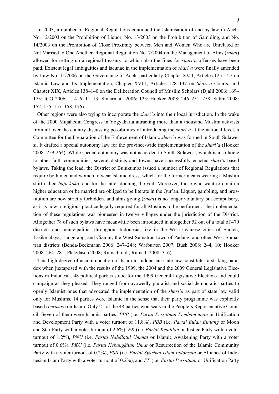In 2003, a number of Regional Regulations continued the Islamisation of and by law in Aceh: No. 12/2003 on the Prohibition of Liquor, No. 13/2003 on the Prohibition of Gambling, and No. 14/2003 on the Prohibition of Close Proximity between Men and Women Who are Unrelated or Not Married to One Another. Regional Regulation No. 7/2004 on the Management of Alms (*zakat*) allowed for setting up a regional treasury to which also the fines for *shari'a* offenses have been paid. Existent legal ambiguities and lacunae in the implementation of *shari'a* were finally amended by Law No. 11/2006 on the Governance of Aceh, particularly Chapter XVII, Articles 125–127 on Islamic Law and Its Implementation, Chapter XVIII, Articles 128–137 on *Shari'a* Courts, and Chapter XIX, Articles 138–140 on the Deliberation Council of Muslim Scholars (Djalil 2006: 169– 173; ICG 2006: 1, 4–6, 11–13; Simarmata 2006: 123; Hooker 2008: 246–251, 258; Salim 2008: 152, 155, 157–158, 176).

Other regions were also trying to incorporate the *shari'a* into their local jurisdiction. In the wake of the 2000 Mujahedin Congress in Yogyakarta attracting more than a thousand Muslim activists from all over the country discussing possibilities of introducing the *shari'a* at the national level, a Committee for the Preparation of the Enforcement of Islamic *shari'a* was formed in South Sulawesi. It drafted a special autonomy law for the province-wide implementation of the *shari'a* (Hooker 2008: 259-264). While special autonomy was not accorded to South Sulawesi, which is also home to other faith communities, several districts and towns have successfully enacted *shari'a*-based bylaws. Taking the lead, the District of Bulukumba issued a number of Regional Regulations that require both men and women to wear Islamic dress, which for the former means wearing a Muslim shirt called *baju koko*, and for the latter donning the veil. Moreover, those who want to obtain a higher education or be married are obliged to be literate in the Qur'an. Liquor, gambling, and prostitution are now strictly forbidden, and alms giving (*zakat*) is no longer voluntary but compulsory, as it is now a religious practice legally required for all Muslims to be performed. The implementation of these regulations was pioneered in twelve villages under the jurisdiction of the District. Altogether 78 of such bylaws have meanwhile been introduced in altogether 52 out of a total of 470 districts and municipalities throughout Indonesia, like in the West-Javanese cities of Banten, Tasikmalaya, Tangerang, and Cianjur, the West Sumatran town of Padang, and other West Sumatran districts (Benda-Beckmann 2006: 247–248; Warburton 2007; Bush 2008: 2–4, 10; Hooker 2008: 264–281; Platzdasch 2008; Rumadi n.d.; Rumadi 2008: 3–6).

This high degree of accommodation of Islam in Indonesian state law constitutes a striking paradox when juxtaposed with the results of the 1999, the 2004 and the 2009 General Legislative Elections in Indonesia. 48 political parties stood for the 1999 General Legislative Elections and could campaign as they pleased. They ranged from avowedly pluralist and social democratic parties to openly Islamist ones that advocated the implementation of the *shari'a* as part of state law valid only for Muslims. 14 parties were Islamic in the sense that their party programme was explicitly based (*berasas*) on Islam. Only 21 of the 48 parties won seats in the People's Representative Council. Seven of them were Islamic parties: *PPP* (i.e. *Partai Persatuan Pembangunan* or Unification and Development Party with a voter turnout of 11.8%), *PBB* (i.e. *Partai Bulan Bintang* or Moon and Star Party with a voter turnout of 2.6%), *PK* (i.e. *Partai Keadilan* or Justice Party with a voter turnout of 1.2%), *PNU* (i.e. *Partai Nahdlatul Ummat* or Islamic Awakening Party with a voter turnout of 0.6%), *PKU* (i.e. *Partai Kebangkitan Umat* or Resurrection of the Islamic Community Party with a voter turnout of 0.2%), *PSII* (i.e. *Partai Syarikat Islam Indonesia* or Alliance of Indonesian Islam Party with a voter turnout of 0.2%), and *PP* (i.e. *Partai Persatuan* or Unification Party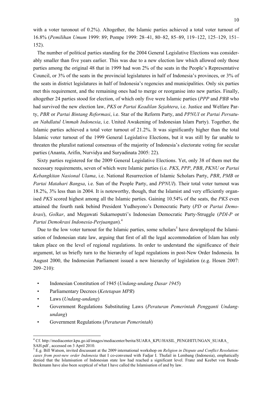with a voter turonout of 0.2%). Altogether, the Islamic parties achieved a total voter turnout of 16.8% (*Pemilihan Umum* 1999: 89; Pompe 1999: 28–41, 80–82, 85–89, 119–122, 125–129, 151– 152).

The number of political parties standing for the 2004 General Legislative Elections was considerably smaller than five years earlier. This was due to a new election law which allowed only those parties among the original 48 that in 1999 had won 2% of the seats in the People's Representative Council, or 3% of the seats in the provincial legislatures in half of Indonesia's provinces, or 3% of the seats in district legislatures in half of Indonesia's regencies and municipalities. Only six parties met this requirement, and the remaining ones had to merge or reorganise into new parties. Finally, altogether 24 parties stood for election, of which only five were Islamic parties (*PPP* and *PBB* who had survived the new election law, *PKS* or *Partai Keadilan Sejahtera*, i.e. Justice and Welfare Party, *PBR* or *Partai Bintang Reformasi*, i.e. Star of the Reform Party, and *PPNUI* or *Partai Persatuan Nahdlatul Ummah Indonesia*, i.e. United Awakening of Indonesian Islam Party). Together, the Islamic parties achieved a total voter turnout of 21.2%. It was significantly higher than the total Islamic voter turnout of the 1999 General Legislative Elections, but it was still by far unable to threaten the pluralist national consensus of the majority of Indonesia's electorate voting for secular parties (Ananta, Arifin, Nurvidya and Suryadinata 2005: 22).

Sixty parties registered for the 2009 General Legislative Elections. Yet, only 38 of them met the necessary requirements, seven of which were Islamic parties (i.e. *PKS*, *PPP*, *PBB*, *PKNU* or *Partai Kebangkitan Nasional Ulama*, i.e. National Resurrection of Islamic Scholars Party, *PBR*, *PMB* or *Partai Matahari Bangsa*, i.e. Sun of the People Party, and *PPNUI*). Their total voter turnout was 18.2%, 3% less than in 2004. It is noteworthy, though, that the Islamist and very efficiently organised *PKS* scored highest among all the Islamic parties. Gaining 10.54% of the seats, the *PKS* even attained the fourth rank behind President Yudhoyono's Democratic Party (*PD* or *Partai Demokrasi*), *Golkar*, and Megawati Sukarnoputri's Indonesian Democratic Party-Struggle (*PDI-P* or *Partai Demokrasi Indonesia-Perjuangan*).<sup>4</sup>

Due to the low voter turnout for the Islamic parties, some scholars<sup>5</sup> have downplayed the Islamisation of Indonesian state law, arguing that first of all the legal accommodation of Islam has only taken place on the level of regional regulations. In order to understand the significance of their argument, let us briefly turn to the hierarchy of legal regulations in post-New Order Indonesia. In August 2000, the Indonesian Parliament issued a new hierarchy of legislation (e.g. Hosen 2007: 209–210):

- Indonesian Constitution of 1945 (*Undang-undang Dasar 1945*)
- Parliamentary Decrees (*Ketetapan MPR*)
- Laws (*Undang-undang*)

- Government Regulations Substituting Laws (*Peraturan Pemerintah Pengganti Undangundang*)
- Government Regulations (*Peraturan Pemerintah*)

<sup>4</sup> Cf. http://mediacenter.kpu.go.id/images/mediacenter/berita/SUARA\_KPU/HASIL\_PENGHITUNGAN\_SUARA\_ SAH.pdf , accessed on 3 April 2010.

<sup>5</sup> E.g. Bill Watson, invited discussant at the 2009 international workshop on *Religion in Dispute and Conflict Resolution: cases from post-new order Indonesia* that I co-convened with Fadjar I. Thufail in Lembang (Indonesia), emphatically denied that the Islamisation of Indonesian state law had reached a significant level. Franz and Keebet von Benda-Beckmann have also been sceptical of what I have called the Islamisation of and by law.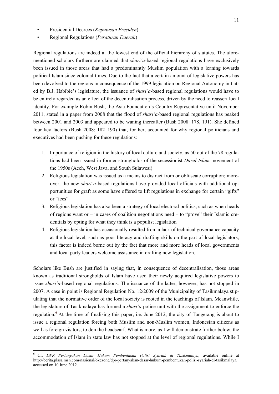- Presidential Decrees (*Keputusan Presiden*)
- Regional Regulations (*Peraturan Daerah*)

Regional regulations are indeed at the lowest end of the official hierarchy of statutes. The aforementioned scholars furthermore claimed that *shari'a*-based regional regulations have exclusively been issued in those areas that had a predominantly Muslim population with a leaning towards political Islam since colonial times. Due to the fact that a certain amount of legislative powers has been devolved to the regions in consequence of the 1999 legislation on Regional Autonomy initiated by B.J. Habibie's legislature, the issuance of *shari'a*-based regional regulations would have to be entirely regarded as an effect of the decentralisation process, driven by the need to reassert local identity. For example Robin Bush, the Asia Foundation's Country Representative until November 2011, stated in a paper from 2008 that the flood of *shari'a*-based regional regulations has peaked between 2001 and 2003 and appeared to be waning thereafter (Bush 2008: 178, 191). She defined four key factors (Bush 2008: 182–190) that, for her, accounted for why regional politicians and executives had been pushing for these regulations:

- 1. Importance of religion in the history of local culture and society, as 50 out of the 78 regulations had been issued in former strongholds of the secessionist *Darul Islam* movement of the 1950s (Aceh, West Java, and South Sulawesi)
- 2. Religious legislation was issued as a means to distract from or obfuscate corruption; moreover, the new *shari'a*-based regulations have provided local officials with additional opportunities for graft as some have offered to lift regulations in exchange for certain "gifts" or "fees"
- 3. Religious legislation has also been a strategy of local electoral politics, such as when heads of regions want or – in cases of coalition negotiations need – to "prove" their Islamic credentials by opting for what they think is a populist legislation
- 4. Religious legislation has occasionally resulted from a lack of technical governance capacity at the local level, such as poor literacy and drafting skills on the part of local legislators; this factor is indeed borne out by the fact that more and more heads of local governments and local party leaders welcome assistance in drafting new legislation.

Scholars like Bush are justified in saying that, in consequence of decentralisation, those areas known as traditional strongholds of Islam have used their newly acquired legislative powers to issue *shari'a*-based regional regulations. The issuance of the latter, however, has not stopped in 2007. A case in point is Regional Regulation No. 12/2009 of the Municipality of Tasikmalaya stipulating that the normative order of the local society is rooted in the teachings of Islam. Meanwhile, the legislature of Tasikmalaya has formed a *shari'a* police unit with the assignment to enforce the regulation.<sup>6</sup> At the time of finalising this paper, i.e. June 2012, the city of Tangerang is about to issue a regional regulation forcing both Muslim and non-Muslim women, Indonesian citizens as well as foreign visitors, to don the headscarf. What is more, as I will demonstrate further below, the accommodation of Islam in state law has not stopped at the level of regional regulations. While I

<sup>6</sup> Cf. *DPR Pertanyakan Dasar Hukum Pembentukan Polisi Syariah di Tasikmalaya*, available online at http://berita.plasa.msn.com/nasional/okezone/dpr-pertanyakan-dasar-hukum-pembentukan-polisi-syariah-di-tasikmalaya, accessed on 10 June 2012.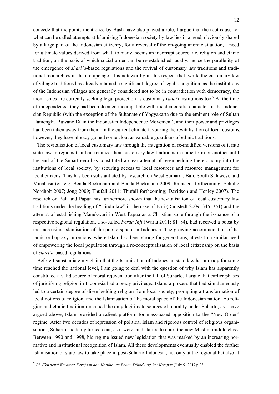concede that the points mentioned by Bush have also played a role, I argue that the root cause for what can be called attempts at Islamising Indonesian society by law lies in a need, obviously shared by a large part of the Indonesian citizenry, for a reversal of the on-going anomic situation, a need for ultimate values derived from what, to many, seems an incorrupt source, i.e. religion and ethnic tradition, on the basis of which social order can be re-established locally; hence the parallelity of the emergence of *shari'a*-based regulations and the revival of customary law traditions and traditional monarchies in the archipelago. It is noteworthy in this respect that, while the customary law of village traditions has already attained a significant degree of legal recognition, as the institutions of the Indonesian villages are generally considered not to be in contradiction with democracy, the monarchies are currently seeking legal protection as customary (*adat*) institutions too.<sup>7</sup> At the time of independence, they had been deemed incompatible with the democratic character of the Indonesian Republic (with the exception of the Sultanate of Yogyakarta due to the eminent role of Sultan Hamengku Buwano IX in the Indonesian Independence Movement), and their power and privileges had been taken away from them. In the current climate favouring the revitalisation of local customs, however, they have already gained some clout as valuable guardians of ethnic traditions.

The revitalisation of local customary law through the integration of re-modified versions of it into state law in regions that had retained their customary law traditions in some form or another until the end of the Suharto-era has constituted a clear attempt of re-embedding the economy into the institutions of local society, by securing access to local resources and resource management for local citizens. This has been substantiated by research on West Sumatra, Bali, South Sulawesi, and Minahasa (cf. e.g. Benda-Beckmann and Benda-Beckmann 2009; Ramstedt forthcoming; Schulte Nordholt 2007; Jong 2009; Thufail 2011; Thufail forthcoming; Davidson and Henley 2007). The research on Bali and Papua has furthermore shown that the revitalisation of local customary law traditions under the heading of "Hindu law" in the case of Bali (Ramstedt 2009: 345, 351) and the attempt of establishing Manukwari in West Papua as a Christian zone through the issuance of a respective regional regulation, a so-called *Perda Inji* (Warta 2011: 81–84), had received a boost by the increasing Islamisation of the public sphere in Indonesia. The growing accommodation of Islamic orthopraxy in regions, where Islam had been strong for generations, attests to a similar need of empowering the local population through a re-conceptualisation of local citizenship on the basis of *shari'a*-based regulations.

Before I substantiate my claim that the Islamisation of Indonesian state law has already for some time reached the national level, I am going to deal with the question of why Islam has apparently constituted a valid source of moral rejuvenation after the fall of Suharto. I argue that earlier phases of juridifying religion in Indonesia had already privileged Islam, a process that had simultaneously led to a certain degree of disembedding religion from local society, prompting a transformation of local notions of religion, and the Islamisation of the moral space of the Indonesian nation. As religion and ethnic tradition remained the only legitimate sources of morality under Suharto, as I have argued above, Islam provided a salient platform for mass-based opposition to the "New Order" regime. After two decades of repression of political Islam and rigorous control of religious organisations, Suharto suddenly turned coat, as it were, and started to court the new Muslim middle class. Between 1990 and 1998, his regime issued new legislation that was marked by an increasing normative and institutional recognition of Islam. All these developments eventually enabled the further Islamisation of state law to take place in post-Suharto Indonesia, not only at the regional but also at

 7 Cf. *Eksistensi Keraton: Kerajaan dan Kesultanan Belum Dilindungi.* In: *Kompas* (July 9, 2012): 23.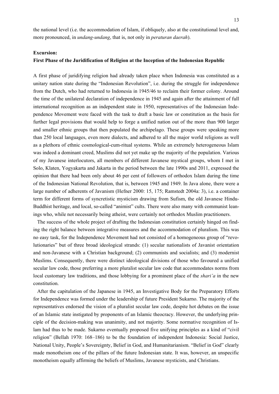the national level (i.e. the accommodation of Islam, if obliquely, also at the constitutional level and, more pronounced, in *undang-undang*, that is, not only in *peraturan daerah*).

#### **Excursion:**

#### **First Phase of the Juridification of Religion at the Inception of the Indonesian Republic**

A first phase of juridifying religion had already taken place when Indonesia was constituted as a unitary nation state during the "Indonesian Revolution", i.e. during the struggle for independence from the Dutch, who had returned to Indonesia in 1945/46 to reclaim their former colony. Around the time of the unilateral declaration of independence in 1945 and again after the attainment of full international recognition as an independent state in 1950, representatives of the Indonesian Independence Movement were faced with the task to draft a basic law or constitution as the basis for further legal provisions that would help to forge a unified nation out of the more than 900 larger and smaller ethnic groups that then populated the archipelago. These groups were speaking more than 250 local languages, even more dialects, and adhered to all the major world religions as well as a plethora of ethnic cosmological-cum-ritual systems. While an extremely heterogeneous Islam was indeed a dominant creed, Muslims did not yet make up the majority of the population. Various of my Javanese interlocutors, all members of different Javanese mystical groups, whom I met in Solo, Klaten, Yogyakarta and Jakarta in the period between the late 1990s and 2011, expressed the opinion that there had been only about 46 per cent of followers of orthodox Islam during the time of the Indonesian National Revolution, that is, between 1945 and 1949. In Java alone, there were a large number of adherents of Javanism (Hefner 2000: 15, 175; Ramstedt 2004a: 3), i.e. a container term for different forms of syncretistic mysticism drawing from Sufism, the old Javanese Hindu-Buddhist heritage, and local, so-called "animist" cults. There were also many with communist leanings who, while not necessarily being atheist, were certainly not orthodox Muslim practitioners.

The success of the whole project of drafting the Indonesian constitution certainly hinged on finding the right balance between integrative measures and the accommodation of pluralism. This was no easy task, for the Independence Movement had not consisted of a homogeneous group of "revolutionaries" but of three broad ideological strands: (1) secular nationalists of Javanist orientation and non-Javanese with a Christian background; (2) communists and socialists; and (3) modernist Muslims. Consequently, there were distinct ideological divisions of those who favoured a unified secular law code, those preferring a more pluralist secular law code that accommodates norms from local customary law traditions, and those lobbying for a prominent place of the *shari'a* in the new constitution.

After the capitulation of the Japanese in 1945, an Investigative Body for the Preparatory Efforts for Independence was formed under the leadership of future President Sukarno. The majority of the representatives endorsed the vision of a pluralist secular law code, despite hot debates on the issue of an Islamic state instigated by proponents of an Islamic theocracy. However, the underlying principle of the decision-making was unanimity, and not majority. Some normative recognition of Islam had thus to be made. Sukarno eventually proposed five unifying principles as a kind of "civil religion" (Bellah 1970: 168–186) to be the foundation of independent Indonesia: Social Justice, National Unity, People's Sovereignty, Belief in God, and Humanitarianism. "Belief in God" clearly made monotheism one of the pillars of the future Indonesian state. It was, however, an unspecific monotheism equally affirming the beliefs of Muslims, Javanese mysticists, and Christians.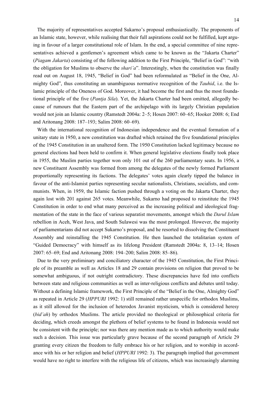The majority of representatives accepted Sukarno's proposal enthusiastically. The proponents of an Islamic state, however, while realising that their full aspirations could not be fulfilled, kept arguing in favour of a larger constitutional role of Islam. In the end, a special committee of nine representatives achieved a gentlemen's agreement which came to be known as the "Jakarta Charter" (*Piagam Jakarta*) consisting of the following addition to the First Principle, "Belief in God": "with the obligation for Muslims to observe the *shari'a*". Interestingly, when the constitution was finally read out on August 18, 1945, "Belief in God" had been reformulated as "Belief in the One, Almighty God", thus constituting an unambiguous normative recognition of the *Tauhid*, i.e. the Islamic principle of the Oneness of God. Moreover, it had become the first and thus the most foundational principle of the five (*Pantja Sila*). Yet, the Jakarta Charter had been omitted, allegedly because of rumours that the Eastern part of the archipelago with its largely Christian population would not join an Islamic country (Ramstedt 2004a: 2–5; Hosen 2007: 60–65; Hooker 2008: 6; End and Aritonang 2008: 187–193; Salim 2008: 60–69).

With the international recognition of Indonesian independence and the eventual formation of a unitary state in 1950, a new constitution was drafted which retained the five foundational principles of the 1945 Constitution in an unaltered form. The 1950 Constitution lacked legitimacy because no general elections had been held to confirm it. When general legislative elections finally took place in 1955, the Muslim parties together won only 101 out of the 260 parliamentary seats. In 1956, a new Constituent Assembly was formed from among the delegates of the newly formed Parliament proportionally representing its factions. The delegates' votes again clearly tipped the balance in favour of the anti-Islamist parties representing secular nationalists, Christians, socialists, and communists. When, in 1959, the Islamic faction pushed through a voting on the Jakarta Charter, they again lost with 201 against 265 votes. Meanwhile, Sukarno had proposed to reinstitute the 1945 Constitution in order to end what many perceived as the increasing political and ideological fragmentation of the state in the face of various separatist movements, amongst which the *Darul Islam* rebellion in Aceh, West Java, and South Sulawesi was the most prolonged. However, the majority of parliamentarians did not accept Sukarno's proposal, and he resorted to dissolving the Constituent Assembly and reinstalling the 1945 Constitution. He then launched the totalitarian system of "Guided Democracy" with himself as its lifelong President (Ramstedt 2004a: 8, 13–14; Hosen 2007: 65–69; End and Aritonang 2008: 194–200; Salim 2008: 85–86).

Due to the very preliminary and conciliatory character of the 1945 Constitution, the First Principle of its preamble as well as Articles 18 and 29 contain provisions on religion that proved to be somewhat ambiguous, if not outright contradictory. These discrepancies have fed into conflicts between state and religious communities as well as inter-religious conflicts and debates until today. Without a defining Islamic framework, the First Principle of the "Belief in the One, Almighty God" as repeated in Article 29 (*HPPURI* 1992: 1) still remained rather unspecific for orthodox Muslims, as it still allowed for the inclusion of heterodox Javanist mysticism, which is considered heresy (*bid'ah*) by orthodox Muslims. The article provided no theological or philosophical criteria for deciding, which creeds amongst the plethora of belief systems to be found in Indonesia would not be consistent with the principle; nor was there any mention made as to which authority would make such a decision. This issue was particularly grave because of the second paragraph of Article 29 granting every citizen the freedom to fully embrace his or her religion, and to worship in accordance with his or her religion and belief (*HPPURI* 1992: 3). The paragraph implied that government would have no right to interfere with the religious life of citizens, which was increasingly alarming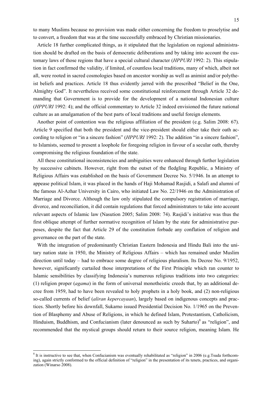to many Muslims because no provision was made either concerning the freedom to proselytise and to convert, a freedom that was at the time successfully embraced by Christian missionaries.

Article 18 further complicated things, as it stipulated that the legislation on regional administration should be drafted on the basis of democratic deliberations and by taking into account the customary laws of those regions that have a special cultural character (*HPPURI* 1992: 2). This stipulation in fact confirmed the validity, if limited, of countless local traditions, many of which, albeit not all, were rooted in sacred cosmologies based on ancestor worship as well as animist and/or polytheist beliefs and practices. Article 18 thus evidently jarred with the prescribed "Belief in the One, Almighty God". It nevertheless received some constitutional reinforcement through Article 32 demanding that Government is to provide for the development of a national Indonesian culture (*HPPURI* 1992: 4); and the official commentary to Article 32 indeed envisioned the future national culture as an amalgamation of the best parts of local traditions and useful foreign elements.

Another point of contention was the religious affiliation of the president (e.g. Salim 2008: 67). Article 9 specified that both the president and the vice-president should either take their oath according to religion or "in a sincere fashion" (*HPPURI* 1992: 2). The addition "in a sincere fashion", to Islamists, seemed to present a loophole for foregoing religion in favour of a secular oath, thereby compromising the religious foundation of the state.

All these constitutional inconsistencies and ambiguities were enhanced through further legislation by successive cabinets. However, right from the outset of the fledgling Republic, a Ministry of Religious Affairs was established on the basis of Government Decree No. 5/1946. In an attempt to appease political Islam, it was placed in the hands of Haji Mohamad Rasjidi, a Salafi and alumni of the famous Al-Azhar University in Cairo, who initiated Law No. 22/1946 on the Administration of Marriage and Divorce. Although the law only stipulated the compulsory registration of marriage, divorce, and reconciliation, it did contain regulations that forced administrators to take into account relevant aspects of Islamic law (Nasution 2005; Salim 2008: 74). Rasjidi's initiative was thus the first oblique attempt of further normative recognition of Islam by the state for administrative purposes, despite the fact that Article 29 of the constitution forbade any conflation of religion and governance on the part of the state.

With the integration of predominantly Christian Eastern Indonesia and Hindu Bali into the unitary nation state in 1950, the Ministry of Religious Affairs – which has remained under Muslim direction until today – had to embrace some degree of religious pluralism. Its Decree No. 9/1952, however, significantly curtailed those interpretations of the First Principle which ran counter to Islamic sensibilities by classifying Indonesia's numerous religious traditions into two categories: (1) religion proper (*agama*) in the form of universal monotheistic creeds that, by an additional decree from 1959, had to have been revealed to holy prophets in a holy book, and (2) non-religious so-called currents of belief (*aliran kepercayaan*), largely based on indigenous concepts and practices. Shortly before his downfall, Sukarno issued Presidential Decision No. 1/1965 on the Prevention of Blasphemy and Abuse of Religions, in which he defined Islam, Protestantism, Catholicism, Hinduism, Buddhism, and Confucianism (later denounced as such by Suharto)<sup>8</sup> as "religion", and recommended that the mystical groups should return to their source religion, meaning Islam. He

 $8$  It is instructive to see that, when Confucianism was eventually rehabilitated as "religion" in 2006 (e.g. Tsuda forthcoming), again strictly conformed to the official definition of "religion" in the presentation of its tenets, practices, and organization (Winarso 2008).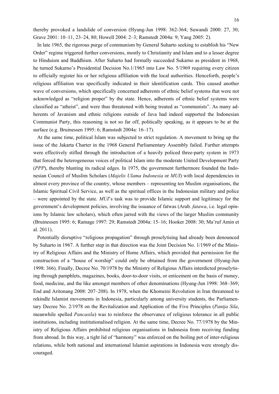thereby provoked a landslide of conversion (Hyung-Jun 1998: 362-364; Suwandi 2000: 27, 30; Grave 2001: 10–11, 23–24, 80; Howell 2004: 2–3; Ramstedt 2004a: 9; Yang 2005: 2).

In late 1965, the rigorous purge of communism by General Suharto seeking to establish his "New Order" regime triggered further conversions, mostly to Christianity and Islam and to a lesser degree to Hinduism and Buddhism. After Suharto had formally succeeded Sukarno as president in 1968, he turned Sukarno's Presidential Decision No.1/1965 into Law No. 5/1969 requiring every citizen to officially register his or her religious affiliation with the local authorities. Henceforth, people's religious affiliation was specifically indicated in their identification cards. This caused another wave of conversions, which specifically concerned adherents of ethnic belief systems that were not acknowledged as "religion proper" by the state. Hence, adherents of ethnic belief systems were classified as "atheist", and were thus threatened with being treated as "communists". As many adherents of Javanism and ethnic religions outside of Java had indeed supported the Indonesian Communist Party, this reasoning is not so far off, politically speaking, as it appears to be at the surface (e.g. Bruinessen 1995: 6; Ramstedt 2004a: 16–17).

At the same time, political Islam was subjected to strict regulation. A movement to bring up the issue of the Jakarta Charter in the 1968 General Parliamentary Assembly failed. Further attempts were effectively stifled through the introduction of a heavily policed three-party system in 1973 that forced the heterogeneous voices of political Islam into the moderate United Development Party (*PPP*), thereby blunting its radical edges. In 1975, the government furthermore founded the Indonesian Council of Muslim Scholars (*Majelis Ulama Indonesia* or *MUI*) with local dependencies in almost every province of the country, whose members – representing ten Muslim organisations, the Islamic Spiritual Civil Service, as well as the spiritual offices in the Indonesian military and police – were appointed by the state. *MUI*'s task was to provide Islamic support and legitimacy for the government's development policies, involving the issuance of fatwas (Arab. *fatawa*, i.e. legal opinions by Islamic law scholars), which often jarred with the views of the larger Muslim community (Bruinessen 1995: 6; Ramage 1997: 29; Ramstedt 2004a: 15–16; Hooker 2008: 30; Ma'ruf Amin et al. 2011).

Potentially disruptive "religious propagation" through proselytising had already been denounced by Suharto in 1967. A further step in that direction was the Joint Decision No. 1/1969 of the Ministry of Religious Affairs and the Ministry of Home Affairs, which provided that permission for the construction of a "house of worship" could only be obtained from the government (Hyung-Jun 1998: 366). Finally, Decree No. 70/1978 by the Ministry of Religious Affairs interdicted proselytising through pamphlets, magazines, books, door-to-door visits, or enticement on the basis of money, food, medicine, and the like amongst members of other denominations (Hyung-Jun 1998: 368–369; End and Aritonang 2008: 207–208). In 1978, when the Khomeini Revolution in Iran threatened to rekindle Islamist movements in Indonesia, particularly among university students, the Parliamentary Decree No. 2/1978 on the Revitalization and Application of the Five Principles (*Pantja Sila*, meanwhile spelled *Pancasila*) was to reinforce the observance of religious tolerance in all public institutions, including institutionalised religion. At the same time, Decree No. 77/1978 by the Ministry of Religious Affairs prohibited religious organisations in Indonesia from receiving funding from abroad. In this way, a tight lid of "harmony" was enforced on the boiling pot of inter-religious relations, while both national and international Islamist aspirations in Indonesia were strongly discouraged.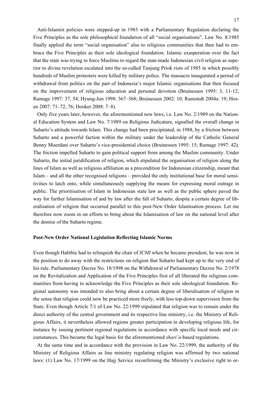Anti-Islamist policies were stepped-up in 1983 with a Parliamentary Regulation declaring the Five Principles as the sole philosophical foundation of all "social organisations". Law No. 8/1985 finally applied the term "social organisation" also to religious communities that then had to embrace the Five Principles as their sole ideological foundation. Islamic exasperation over the fact that the state was trying to force Muslims to regard the man-made Indonesian civil religion as superior to divine revelation escalated into the so-called Tanjung Priok riots of 1985 in which possibly hundreds of Muslim protesters were killed by military police. The massacre inaugurated a period of

withdrawal from politics on the part of Indonesia's major Islamic organisations that then focused on the improvement of religious education and personal devotion (Bruinessen 1995: 3, 11-12; Ramage 1997: 37, 54; Hyung-Jun 1998: 367–368; Bruinessen 2002: 10; Ramstedt 2004a: 19; Hosen 2007: 71–72, 76; Hooker 2008: 7–8).

Only five years later, however, the aforementioned new laws, i.e. Law No. 2/1989 on the National Education System and Law No. 7/1989 on Religious Judicature, signalled the overall change in Suharto's attitude towards Islam. This change had been precipitated, in 1988, by a friction between Suharto and a powerful faction within the military under the leadership of the Catholic General Benny Moerdani over Suharto's vice-presidential choice (Bruinessen 1995: 15; Ramage 1997: 42). The friction impelled Suharto to gain political support from among the Muslim community. Under Suharto, the initial juridification of religion, which stipulated the organisation of religion along the lines of Islam as well as religious affiliation as a precondition for Indonesian citizenship, meant that Islam – and all the other recognised religions – provided the only institutional base for moral sensitivities to latch onto, while simultaneously supplying the means for expressing moral outrage in public. The prioritisation of Islam in Indonesian state law as well as the public sphere paved the way for further Islamisation of and by law after the fall of Suharto, despite a certain degree of liberalisation of religion that occurred parallel to this post-New Order Islamisation process. Let me therefore now zoom in on efforts to bring about the Islamisation of law on the national level after the demise of the Suharto regime.

#### **Post-New Order National Legislation Reflecting Islamic Norms**

Even though Habibie had to relinquish the chair of *ICMI* when he became president, he was now in the position to do away with the restrictions on religion that Suharto had kept up to the very end of his rule. Parliamentary Decree No. 18/1998 on the Withdrawal of Parliamentary Decree No. 2/1978 on the Revitalization and Application of the Five Principles first of all liberated the religious communities from having to acknowledge the Five Principles as their sole ideological foundation. Regional autonomy was intended to also bring about a certain degree of liberalisation of religion in the sense that religion could now be practiced more freely, with less top-down supervision from the State. Even though Article 7/1 of Law No. 22/1999 stipulated that religion was to remain under the direct authority of the central government and its respective line ministry, i.e. the Ministry of Religious Affairs, it nevertheless allowed regions greater participation in developing religious life, for instance by issuing pertinent regional regulations in accordance with specific local needs and circumstances. This became the legal basis for the aforementioned *shari'a*-based regulations.

At the same time and in accordance with the provision in Law No. 22/1999, the authority of the Ministry of Religious Affairs as line ministry regulating religion was affirmed by two national laws: (1) Law No. 17/1999 on the Hajj Service reconfirming the Ministry's exclusive right to or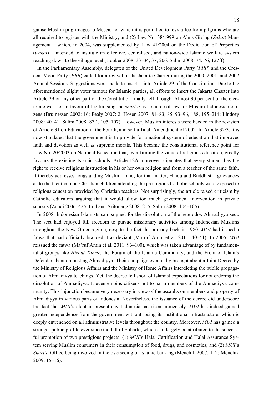ganise Muslim pilgrimages to Mecca, for which it is permitted to levy a fee from pilgrims who are all required to register with the Ministry; and (2) Law No. 38/1999 on Alms Giving (*Zakat*) Management – which, in 2004, was supplemented by Law 41/2004 on the Dedication of Properties (*wakaf*) – intended to institute an effective, centralised, and nation-wide Islamic welfare system reaching down to the village level (Hooker 2008: 33–34, 37, 206; Salim 2008: 74, 76, 127ff).

In the Parliamentary Assembly, delegates of the United Development Party (*PPP*) and the Crescent Moon Party (*PBB*) called for a revival of the Jakarta Charter during the 2000, 2001, and 2002 Annual Sessions. Suggestions were made to insert it into Article 29 of the Constitution. Due to the aforementioned slight voter turnout for Islamic parties, all efforts to insert the Jakarta Charter into Article 29 or any other part of the Constitution finally fell through. Almost 90 per cent of the electorate was not in favour of legitimising the *shari'a* as a source of law for Muslim Indonesian citizens (Bruinessen 2002: 16; Fealy 2007: 2; Hosen 2007: 81–83, 85, 93–96, 188, 195–214; Lindsey 2008: 40–41; Salim 2008: 87ff, 105–107). However, Muslim interests were heeded in the revision of Article 31 on Education in the Fourth, and so far final, Amendment of 2002. In Article 32/3, it is now stipulated that the government is to provide for a national system of education that improves faith and devotion as well as supreme morals. This became the constitutional reference point for Law No. 20/2003 on National Education that, by affirming the value of religious education, greatly favours the existing Islamic schools. Article 12A moreover stipulates that every student has the right to receive religious instruction in his or her own religion and from a teacher of the same faith. It thereby addresses longstanding Muslim – and, for that matter, Hindu and Buddhist – grievances as to the fact that non-Christian children attending the prestigious Catholic schools were exposed to religious education provided by Christian teachers. Not surprisingly, the article raised criticism by Catholic educators arguing that it would allow too much government intervention in private schools (Zuhdi 2006: 425; End and Aritonang 2008: 215; Salim 2008: 104–105).

In 2008, Indonesian Islamists campaigned for the dissolution of the heterodox Ahmadiyya sect. The sect had enjoyed full freedom to pursue missionary activities among Indonesian Muslims throughout the New Order regime, despite the fact that already back in 1980, *MUI* had issued a fatwa that had officially branded it as deviant (Ma'ruf Amin et al. 2011: 40–41). In 2005, *MUI* reissued the fatwa (Ma'ruf Amin et al. 2011: 96–100), which was taken advantage of by fundamentalist groups like *Hizbut Tahrir*, the Forum of the Islamic Community, and the Front of Islam's Defenders bent on ousting Ahmadiyya. Their campaign eventually brought about a Joint Decree by the Ministry of Religious Affairs and the Ministry of Home Affairs interdicting the public propagation of Ahmadiyya teachings. Yet, the decree fell short of Islamist expectations for not ordering the dissolution of Ahmadiyya. It even enjoins citizens not to harm members of the Ahmadiyya community. This injunction became very necessary in view of the assaults on members and property of Ahmadiyya in various parts of Indonesia. Nevertheless, the issuance of the decree did underscore the fact that *MUI*'s clout in present-day Indonesia has risen immensely. *MUI* has indeed gained greater independence from the government without losing its institutional infrastructure, which is deeply entrenched on all administrative levels throughout the country. Moreover, *MUI* has gained a stronger public profile ever since the fall of Suharto, which can largely be attributed to the successful promotion of two prestigious projects: (1) *MUI*'s Halal Certification and Halal Assurance System serving Muslim consumers in their consumption of food, drugs, and cosmetics; and (2) *MUI*'s *Shari'a* Office being involved in the overseeing of Islamic banking (Menchik 2007: 1–2; Menchik 2009: 15–16).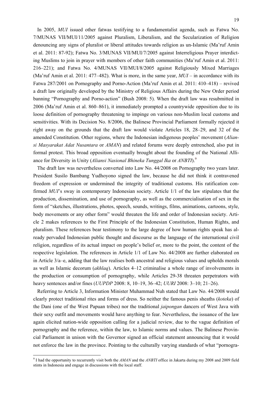In 2005, *MUI* issued other fatwas testifying to a fundamentalist agenda, such as Fatwa No. 7/MUNAS VII/MUI/11/2005 against Pluralism, Liberalism, and the Secularization of Religion denouncing any signs of pluralist or liberal attitudes towards religion as un-Islamic (Ma'ruf Amin et al. 2011: 87-92); Fatwa No. 3/MUNAS VII/MUI/7/2005 against Interreligious Prayer interdicting Muslims to join in prayer with members of other faith communities (Ma'ruf Amin et al. 2011: 216–221); and Fatwa No. 4/MUNAS VII/MUI/8/2005 against Religiously Mixed Marriages (Ma'ruf Amin et al. 2011: 477–482). What is more, in the same year, *MUI* – in accordance with its Fatwa 287/2001 on Pornography and Porno-Action (Ma'ruf Amin et al. 2011: 410–418) – revived a draft law originally developed by the Ministry of Religious Affairs during the New Order period banning "Pornography and Porno-action" (Bush 2008: 5). When the draft law was resubmitted in 2006 (Ma'ruf Amin et al. 860–861), it immediately prompted a countrywide opposition due to its loose definition of pornography threatening to impinge on various non-Muslim local customs and sensitivities. With its Decision No. 8/2006, the Balinese Provincial Parliament formally rejected it right away on the grounds that the draft law would violate Articles 18, 28–29, and 32 of the amended Constitution. Other regions, where the Indonesian indigenous peoples' movement (*Aliansi Masyarakat Adat Nusantara* or *AMAN*) and related forums were deeply entrenched, also put in formal protest. This broad opposition eventually brought about the founding of the National Alliance for Diversity in Unity (*Aliansi Nasional Bhineka Tunggal Ika* or *ANBTI*).<sup>9</sup>

The draft law was nevertheless converted into Law No. 44/2008 on Pornography two years later. President Susilo Bambang Yudhoyono signed the law, because he did not think it contravened freedom of expression or undermined the integrity of traditional customs. His ratification confirmed *MUI*'s sway in contemporary Indonesian society. Article 1/1 of the law stipulates that the production, dissemination, and use of pornography, as well as the commercialisation of sex in the form of "sketches, illustrations, photos, speech, sounds, writings, films, animations, cartoons, style, body movements or any other form" would threaten the life and order of Indonesian society. Article 2 makes references to the First Principle of the Indonesian Constitution, Human Rights, and pluralism. These references bear testimony to the large degree of how human rights speak has already pervaded Indonesian public thought and discourse as the language of the international civil religion, regardless of its actual impact on people's belief or, more to the point, the content of the respective legislation. The references in Article 1/1 of Law No. 44/2008 are further elaborated on in Article 3/a–e, adding that the law realises both ancestral and religious values and upholds morals as well as Islamic decorum (*akhlaq*). Articles 4–12 criminalise a whole range of involvements in the production or consumption of pornography, while Articles 29-38 threaten perpetrators with heavy sentences and/or fines (*UUPDP* 2008: 8, 10–19, 36–42; *UURI* 2008: 3–10; 21–26).

Referring to Article 3, Information Minister Muhammad Nuh stated that Law No. 44/2008 would clearly protect traditional rites and forms of dress. So neither the famous penis sheaths (*koteka*) of the Dani (one of the West Papuan tribes) nor the traditional *jaipongan* dancers of West Java with their sexy outfit and movements would have anything to fear. Nevertheless, the issuance of the law again elicited nation-wide opposition calling for a judicial review, due to the vague definition of pornography and the reference, within the law, to Islamic norms and values. The Balinese Provincial Parliament in unison with the Governor signed an official statement announcing that it would not enforce the law in the province. Pointing to the culturally varying standards of what "pornogra-

<sup>9</sup> I had the opportunity to recurrently visit both the *AMAN* and the *ANBTI* office in Jakarta during my 2008 and 2009 field stints in Indonesia and engage in discussions with the local staff.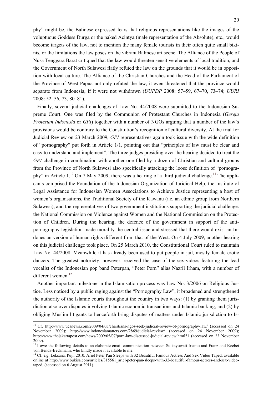phy" might be, the Balinese expressed fears that religious representations like the images of the voluptuous Goddess Durga or the naked Acintya (male representation of the Absolute), etc., would become targets of the law, not to mention the many female tourists in their often quite small bikinis, or the limitations the law poses on the vibrant Balinese art scene. The Alliance of the People of Nusa Tenggara Barat critiqued that the law would threaten sensitive elements of local tradition; and the Government of North Sulawesi flatly refuted the law on the grounds that it would be in opposition with local culture. The Alliance of the Christian Churches and the Head of the Parliament of the Province of West Papua not only refuted the law, it even threatened that the province would separate from Indonesia, if it were not withdrawn (*UUPDP* 2008: 57–59, 67–70, 73–74; *UURI* 2008: 52–56, 73, 80–81).

Finally, several judicial challenges of Law No. 44/2008 were submitted to the Indonesian Supreme Court. One was filed by the Communion of Protestant Churches in Indonesia (*Gereja Protestan Indonesia* or *GPI*) together with a number of NGOs arguing that a number of the law's provisions would be contrary to the Constitution's recognition of cultural diversity. At the trial for Judicial Review on 23 March 2009, *GPI* representatives again took issue with the wide definition of "pornography" put forth in Article 1/1, pointing out that "principles of law must be clear and easy to understand and implement". The three judges presiding over the hearing decided to treat the *GPI* challenge in combination with another one filed by a dozen of Christian and cultural groups from the Province of North Sulawesi also specifically attacking the loose definition of "pornography" in Article  $1^{10}$  On 7 May 2009, there was a hearing of a third judicial challenge.<sup>11</sup> The applicants comprised the Foundation of the Indonesian Organization of Juridical Help, the Institute of Legal Assistance for Indonesian Women Associations to Achieve Justice representing a host of women's organisations, the Traditional Society of the Kawanu (i.e. an ethnic group from Northern Sulawesi), and the representatives of two government institutions supporting the judicial challenge: the National Commission on Violence against Women and the National Commission on the Protection of Children. During the hearing, the defence of the government in support of the antipornography legislation made morality the central issue and stressed that there would exist an Indonesian version of human rights different from that of the West. On 4 July 2009, another hearing on this judicial challenge took place. On 25 March 2010, the Constitutional Court ruled to maintain Law No. 44/2008. Meanwhile it has already been used to put people in jail, mostly female erotic dancers. The greatest notoriety, however, received the case of the sex-videos featuring the lead vocalist of the Indonesian pop band Peterpan, "Peter Porn" alias Nazril Irham, with a number of different women.<sup>12</sup>

Another important milestone in the Islamisation process was Law No. 3/2006 on Religious Justice. Less noticed by a public raging against the "Pornography Law", it broadened and strengthened the authority of the Islamic courts throughout the country in two ways: (1) by granting them jurisdiction also over disputes involving Islamic economic transactions and Islamic banking, and (2) by obliging Muslim litigants to henceforth bring disputes of matters under Islamic jurisdiction to Is-

<sup>10</sup> Cf. http://www.ucanews.com/2009/04/03/christians-ngos-seek-judicial-review-of-pornography-law/ (accessed on 24 November 2009); http://www.indonesiamatters.com/2869/judicial-review/ (accessed on 24 November 2009); http://www.thejakartapost.com/news/2009/05/07/porn-law-discussed-judicial-review.html?1 (accessed on 23 November 2009).

 $11$  I owe the following details to an elaborate email communication between Sulistyowati Irianto and Franz and Keebet von Benda-Beckmann, who kindly made it available to me.

<sup>&</sup>lt;sup>12</sup> Cf. e.g. Leksana, Puji. 2010. Ariel Peter Pan Sleeps with 32 Beautiful Famous Actress And Sex Video Taped, available online at http://www.bukisa.com/articles/315561\_ariel-peter-pan-sleeps-with-32-beautiful-famous-actress-and-sex-videotaped, (accessed on 6 August 2011).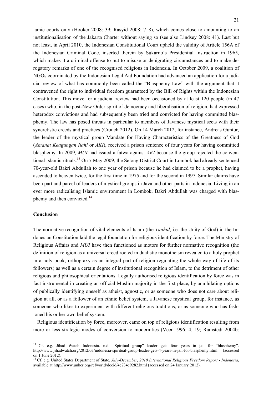lamic courts only (Hooker 2008: 39; Rasyid 2008: 7–8), which comes close to amounting to an institutionalisation of the Jakarta Charter without saying so (see also Lindsey 2008: 41). Last but not least, in April 2010, the Indonesian Constitutional Court upheld the validity of Article 156A of the Indonesian Criminal Code, inserted therein by Sukarno's Presidential Instruction in 1965, which makes it a criminal offense to put to misuse or denigrating circumstances and to make derogatory remarks of one of the recognised religions in Indonesia. In October 2009, a coalition of NGOs coordinated by the Indonesian Legal Aid Foundation had advanced an application for a judicial review of what has commonly been called the "Blasphemy Law" with the argument that it contravened the right to individual freedom guaranteed by the Bill of Rights within the Indonesian Constitution. This move for a judicial review had been occasioned by at least 120 people (in 47 cases) who, in the post-New Order spirit of democracy and liberalisation of religion, had expressed heterodox convictions and had subsequently been tried and convicted for having committed blasphemy. The law has posed threats in particular to members of Javanese mystical sects with their syncretistic creeds and practices (Crouch 2012). On 14 March 2012, for instance, Andreas Guntur, the leader of the mystical group Mandate for Having Characteristics of the Greatness of God (*Amanat Keagungan Ilahi* or *AKI*), received a prison sentence of four years for having committed blasphemy. In 2009, *MUI* had issued a fatwa against *AKI* because the group rejected the conventional Islamic rituals.13 On 7 May 2009, the Selong District Court in Lombok had already sentenced 70-year-old Bakri Abdullah to one year of prison because he had claimed to be a prophet, having ascended to heaven twice, for the first time in 1975 and for the second in 1997. Similar claims have been part and parcel of leaders of mystical groups in Java and other parts in Indonesia. Living in an ever more radicalising Islamic environment in Lombok, Bakri Abdullah was charged with blasphemy and then convicted.<sup>14</sup>

#### **Conclusion**

<u>.</u>

The normative recognition of vital elements of Islam (the *Tauhid*, i.e. the Unity of God) in the Indonesian Constitution laid the legal foundation for religious identification by force. The Ministry of Religious Affairs and *MUI* have then functioned as motors for further normative recognition (the definition of religion as a universal creed rooted in dualistic monotheism revealed to a holy prophet in a holy book; orthopraxy as an integral part of religion regulating the whole way of life of its followers) as well as a certain degree of institutional recognition of Islam, to the detriment of other religious and philosophical orientations. Legally authorised religious identification by force was in fact instrumental in creating an official Muslim majority in the first place, by annihilating options of publically identifying oneself as atheist, agnostic, or as someone who does not care about religion at all, or as a follower of an ethnic belief system, a Javanese mystical group, for instance, as someone who likes to experiment with different religious traditions, or as someone who has fashioned his or her own belief system.

Religious identification by force, moreover, came on top of religious identification resulting from more or less strategic modes of conversion to modernities (Veer 1996: 4, 19; Ramstedt 2004b:

<sup>&</sup>lt;sup>13</sup> Cf. e.g. Jihad Watch Indonesia. n.d. "Spiritual group" leader gets four years in jail for "blasphemy". http://www.jihadwatch.org/2012/03/indonesia-spiritual-group-leader-gets-4-years-in-jail-for-blasphemy.html (accessed on 1 June 2012).

<sup>14</sup> Cf. e.g. United States Department of State. *July-December, 2010 International Religious Freedom Report - Indonesia*, available at http://www.unhcr.org/refworld/docid/4e734c9282.html (accessed on 24 January 2012).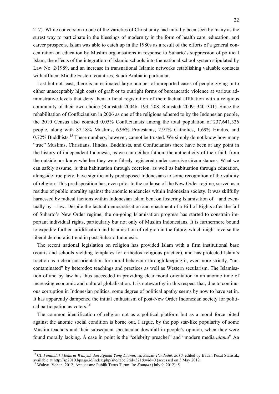217). While conversion to one of the varieties of Christianity had initially been seen by many as the surest way to participate in the blessings of modernity in the form of health care, education, and career prospects, Islam was able to catch up in the 1980s as a result of the efforts of a general concentration on education by Muslim organisations in response to Suharto's suppression of political Islam, the effects of the integration of Islamic schools into the national school system stipulated by Law No. 2/1989, and an increase in transnational Islamic networks establishing valuable contacts with affluent Middle Eastern countries, Saudi Arabia in particular.

Last but not least, there is an estimated large number of unreported cases of people giving in to either unacceptably high costs of graft or to outright forms of bureaucratic violence at various administrative levels that deny them official registration of their factual affiliation with a religious community of their own choice (Ramstedt 2004b: 193, 208; Ramstedt 2009: 340–341). Since the rehabilitation of Confucianism in 2006 as one of the religions adhered to by the Indonesian people, the 2010 Census also counted 0.05% Confucianists among the total population of 237,641,326 people, along with 87.18% Muslims, 6.96% Protestants, 2.91% Catholics, 1.69% Hindus, and  $0.72\%$  Buddhists.<sup>15</sup> These numbers, however, cannot be trusted. We simply do not know how many "true" Muslims, Christians, Hindus, Buddhists, and Confucianists there have been at any point in the history of independent Indonesia, as we can neither fathom the authenticity of their faith from the outside nor know whether they were falsely registered under coercive circumstances. What we can safely assume, is that habituation through coercion, as well as habituation through education, alongside true piety, have significantly predisposed Indonesians to some recognition of the validity of religion. This predisposition has, even prior to the collapse of the New Order regime, served as a residue of public morality against the anomic tendencies within Indonesian society. It was skilfully harnessed by radical factions within Indonesian Islam bent on fostering Islamisation of – and eventually by – law. Despite the factual democratisation and enactment of a Bill of Rights after the fall of Suharto's New Order regime, the on-going Islamisation progress has started to constrain important individual rights, particularly but not only of Muslim Indonesians. It is furthermore bound to expedite further juridification and Islamisation of religion in the future, which might reverse the liberal democratic trend in post-Suharto Indonesia.

The recent national legislation on religion has provided Islam with a firm institutional base (courts and schools yielding templates for orthodox religious practice), and has protected Islam's traction as a clear-cut orientation for moral behaviour through keeping it, ever more strictly, "uncontaminated" by heterodox teachings and practices as well as Western secularism. The Islamisation of and by law has thus succeeded in providing clear moral orientation in an anomic time of increasing economic and cultural globalisation. It is noteworthy in this respect that, due to continuous corruption in Indonesian politics, some degree of political apathy seems by now to have set in. It has apparently dampened the initial enthusiasm of post-New Order Indonesian society for political participation as voters.<sup>16</sup>

The common identification of religion not as a political platform but as a moral force pitted against the anomic social condition is borne out, I argue, by the pop star-like popularity of some Muslim teachers and their subsequent spectacular downfall in people's opinion, when they were found morally lacking. A case in point is the "celebrity preacher" and "modern media *ulama*" Aa

<sup>15</sup> Cf. *Penduduk Menurut Wilayah dan Agama Yang Dianut.* In: *Sensus Penduduk 2010*, edited by Badan Pusat Statistik, available at http://sp2010.bps.go.id/index.php/site/tabel?tid=321&wid=0 (accessed on 3 May 2012. 16 Wahyu, Yohan. 2012. Antusiasme Publik Terus Turun. In: *Kompas* (July 9, 2012): 5.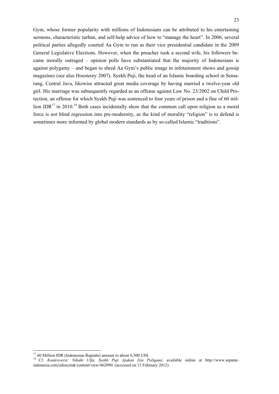Gym, whose former popularity with millions of Indonesians can be attributed to his entertaining sermons, characteristic turban, and self-help advice of how to "manage the heart". In 2006, several political parties allegedly courted Aa Gym to run as their vice presidential candidate in the 2009 General Legislative Elections. However, when the preacher took a second wife, his followers became morally outraged – opinion polls have substantiated that the majority of Indonesians is against polygamy – and began to shred Aa Gym's public image in infotainment shows and gossip magazines (see also Hoesterey 2007). Syekh Puji, the head of an Islamic boarding school in Semarang, Central Java, likewise attracted great media coverage by having married a twelve-year old girl. His marriage was subsequently regarded as an offense against Law No. 23/2002 on Child Protection, an offense for which Syekh Puji was sentenced to four years of prison and a fine of 60 million IDR $^{17}$  in 2010.<sup>18</sup> Both cases incidentally show that the common call upon religion as a moral force is not blind regression into pre-modernity, as the kind of morality "religion" is to defend is sometimes more informed by global modern standards as by so-called Islamic "traditions".

 $1760$  Million IDR (Indonesian Rupiahs) amount to about 6,500 US\$.

<sup>&</sup>lt;sup>18</sup> Cf. *Kontroversi: Nikahi Ulfa, Syekh Puji Ajukan Izin Poligami*, available online at http://www.seputarindonesia.com/edisicetak/content/view/462090/ (accessed on 13 February 2012).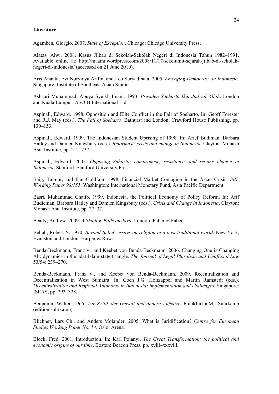#### **Literature**

Agamben, Giorgio. 2007. *State of Exception*. Chicago: Chicago University Press.

Alatas, Alwi. 2008. Kasus Jilbab di Sekolah-Sekolah Negeri di Indonesia Tahun 1982–1991. Available online at: http://maaini.wordpress.com/2008/11/17/sekelumit-sejarah-jilbab-di-sekolahnegeri-di-indonesia/ (accessed on 21 June 2010).

Aris Ananta, Evi Nurvidya Arifin, and Leo Suryadinata. 2005. *Emerging Democracy in Indonesia*. Singapore: Institute of Southeast Asian Studies.

Ashaari Muhammad, Abuya Syeikh Imam. 1993. *Presiden Soeharto Ikut Jadwal Allah*. London and Kuala Lumpur: ASOIB International Ltd.

Aspinall, Edward. 1998. Opposition and Elite Conflict in the Fall of Soeharto. In: Geoff Forester and R.J. May (eds.). *The Fall of Soeharto*. Bathurst and London: Crawford House Publishing, pp. 130–153.

Aspinall, Edward. 1999. The Indonesian Student Uprising of 1998. In: Arief Budiman, Barbara Hatley and Damien Kingsbury (eds.). *Reformasi: crisis and change in Indonesia*. Clayton: Monash Asia Institute, pp. 212–237.

Aspinall, Edward. 2005. *Opposing Suharto: compromise, resistance, and regime change in Indonesia.* Stanford: Stanford University Press.

Baig, Taimur, and Ilan Goldfajn. 1998. Financial Market Contagion in the Asian Crisis. *IMF Working Paper 98/155*. Washington: International Monetary Fund, Asia Pacific Department.

Basri, Muhammad Chatib. 1999. Indonesia, the Political Economy of Policy Reform. In: Arif Budieman, Barbara Hatley and Damien Kingsbury (eds.). *Crisis and Change in Indonesia*. Clayton: Monash Asia Institute, pp. 27–37.

Beatty, Andrew. 2009. *A Shadow Falls on Java*. London: Faber & Faber.

Bellah, Robert N. 1970. *Beyond Belief: essays on religion in a post-traditional world*. New York, Evanston and London: Harper & Row.

Benda-Beckmann, Franz v., and Keebet von Benda-Beckmann. 2006. Changing One is Changing All: dynamics in the adat-Islam-state triangle. *The Journal of Legal Pluralism and Unofficial Law* 53/54: 239–270.

Benda-Beckmann, Franz v., and Keebet von Benda-Beckmann. 2009. Recentralization and Decentralization in West Sumatra. In: Coen J.G. Holtzappel and Martin Ramstedt (eds.). *Decentralization and Regional Autonomy in Indonesia: implementation and challenges*. Singapore: ISEAS, pp. 293–328.

Benjamin, Walter. 1965. *Zur Kritik der Gewalt und andere Aufsätze*. Frankfurt a.M.: Suhrkamp (edition suhrkamp).

Blichner, Lars Ch., and Anders Molander. 2005. What is Juridification? *Centre for European Studies Working Paper No. 14*. Oslo: Arena.

Block, Fred. 2001. Introduction. In: Karl Polanyi. *The Great Transformation: the political and economic origins of our time*. Boston: Beacon Press, pp. xviii–xxxviii.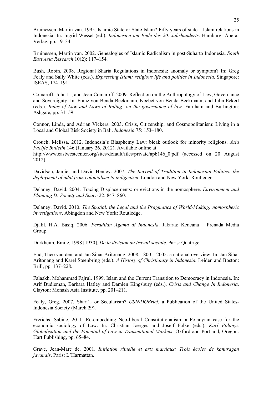Bruinessen, Martin van. 1995. Islamic State or State Islam? Fifty years of state – Islam relations in Indonesia. In: Ingrid Wessel (ed.). *Indonesien am Ende des 20. Jahrhunderts*. Hamburg: Abera-Verlag, pp. 19–34.

Bruinessen, Martin van. 2002. Genealogies of Islamic Radicalism in post-Suharto Indonesia. *South East Asia Research* 10(2): 117–154.

Bush, Robin. 2008. Regional Sharia Regulations in Indonesia: anomaly or symptom? In: Greg Fealy and Sally White (eds.). *Expressing Islam: religious life and politics in Indonesia.* Singapore: ISEAS, 174–191.

Comaroff, John L., and Jean Comaroff. 2009. Reflection on the Anthropology of Law, Governance and Sovereignty. In: Franz von Benda-Beckmann, Keebet von Benda-Beckmann, and Julia Eckert (eds.). *Rules of Law and Laws of Ruling: on the governance of law.* Farnham and Burlington: Ashgate, pp. 31–59.

Connor, Linda, and Adrian Vickers. 2003. Crisis, Citizenship, and Cosmopolitanism: Living in a Local and Global Risk Society in Bali. *Indonesia* 75: 153–180.

Crouch, Melissa. 2012. Indonesia's Blasphemy Law: bleak outlook for minority religions. *Asia Pacific Bulletin* 146 (January 26, 2012). Available online at: http://www.eastwestcenter.org/sites/default/files/private/apb146\_0.pdf (accessed on 20 August 2012).

Davidson, Jamie, and David Henley. 2007. *The Revival of Tradition in Indonesian Politics: the deployment of adat from colonialism to indigenism*. London and New York: Routledge.

Delaney, David. 2004. Tracing Displacements: or evictions in the nomosphere. *Environment and Planning D: Society and Space* 22: 847–860.

Delaney, David. 2010. *The Spatial, the Legal and the Pragmatics of World-Making: nomospheric investigations*. Abingdon and New York: Routledge.

Djalil, H.A. Basiq. 2006. *Peradilan Agama di Indonesia*. Jakarta: Kencana – Prenada Media Group.

Durkheim, Emile. 1998 [1930]. *De la division du travail sociale*. Paris: Quatrige.

End, Theo van den, and Jan Sihar Aritonang. 2008. 1800 – 2005: a national overview. In: Jan Sihar Aritonang and Karel Steenbring (eds.). *A History of Christianity in Indonesia.* Leiden and Boston: Brill, pp. 137–228.

Falaakh, Mohammad Fajrul. 1999. Islam and the Current Transition to Democracy in Indonesia. In: Arif Budieman, Barbara Hatley and Damien Kingsbury (eds.). *Crisis and Change In Indonesia*. Clayton: Monash Asia Institute, pp. 201–211.

Fealy, Greg. 2007. Shari'a or Secularism? *USINDOBrief*, a Publication of the United States-Indonesia Society (March 29).

Frerichs, Sabine. 2011. Re-embedding Neo-liberal Constitutionalism: a Polanyian case for the economic sociology of Law. In: Christian Joerges and Joself Falke (eds.). *Karl Polanyi, Globalisation and the Potential of Law in Transnational Markets*. Oxford and Portland, Oregon: Hart Publishing, pp. 65–84.

Grave, Jean-Marc de. 2001. *Initiation rituelle et arts martiaux: Trois écoles de kanuragan javanais*. Paris: L'Harmattan.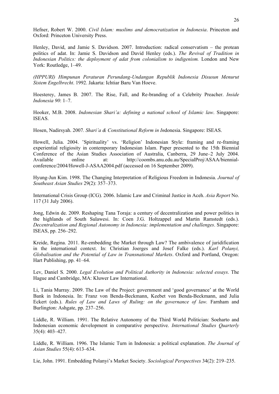Hefner, Robert W. 2000. *Civil Islam: muslims and democratization in Indonesia*. Princeton and Oxford: Princeton University Press.

Henley, David, and Jamie S. Davidson. 2007. Introduction: radical conservatism – the protean politics of adat. In: Jamie S. Davidson and David Henley (eds.). *The Revival of Tradition in Indonesian Politics: the deployment of adat from colonialism to indigenism.* London and New York: Routledge, 1–49.

*(HPPURI) Himpunan Peraturan Perundang-Undangan Republik Indonesia Disusun Menurut Sistem Engelbrecht*. 1992. Jakarta: Ichtiar Baru Van Hoeve.

Hoesterey, James B. 2007. The Rise, Fall, and Re-branding of a Celebrity Preacher. *Inside Indonesia 90*: 1–7.

Hooker, M.B. 2008. *Indonesian Shari'a: defining a national school of Islamic law*. Singapore: ISEAS.

Hosen, Nadirsyah. 2007*. Shari'a & Constitutional Reform in In*donesia. Singapore: ISEAS.

Howell, Julia. 2004. 'Spirituality' vs. 'Religion' Indonesian Style: framing and re-framing experiential religiosity in contemporary Indonesian Islam. Paper presented to the 15th Biennial Conference of the Asian Studies Association of Australia, Canberra, 29 June–2 July 2004. Available online at: http://coombs.anu.edu.au/SpecialProj/ASAA/biennialconference/2004/Howell-J-ASAA2004.pdf (accessed on 16 September 2009).

Hyung-Jun Kim. 1998. The Changing Interpretation of Religious Freedom in Indonesia. *Journal of Southeast Asian Studies* 29(2): 357–373.

International Crisis Group (ICG). 2006. Islamic Law and Criminal Justice in Aceh. *Asia Report* No. 117 (31 July 2006).

Jong, Edwin de. 2009. Reshaping Tana Toraja: a century of decentralization and power politics in the highlands of South Sulawesi. In: Coen J.G. Holtzappel and Martin Ramstedt (eds.). *Decentralization and Regional Autonomy in Indonesia: implementation and challenges*. Singapore: ISEAS, pp. 256–292.

Kreide, Regina. 2011. Re-embedding the Market through Law? The ambivalence of juridification in the international context. In: Christian Joerges and Josef Falke (eds.). *Karl Polanyi, Globalisation and the Potential of Law in Transnational Markets*. Oxford and Portland, Oregon: Hart Publishing, pp. 41–64.

Lev, Daniel S. 2000. *Legal Evolution and Political Authority in Indonesia: selected essays*. The Hague and Cambridge, MA: Kluwer Law International.

Li, Tania Murray. 2009. The Law of the Project: government and 'good governance' at the World Bank in Indonesia. In: Franz von Benda-Beckmann, Keebet von Benda-Beckmann, and Julia Eckert (eds.). *Rules of Law and Laws of Ruling: on the governance of law.* Farnham and Burlington: Ashgate, pp. 237–256.

Liddle, R. William. 1991. The Relative Autonomy of the Third World Politician: Soeharto and Indonesian economic development in comparative perspective. *International Studies Quarterly* 35(4): 403–427.

Liddle, R. William. 1996. The Islamic Turn in Indonesia: a political explanation. *The Journal of Asian Studies* 55(4): 613–634.

Lie, John. 1991. Embedding Polanyi's Market Society. *Sociological Perspectives* 34(2): 219–235.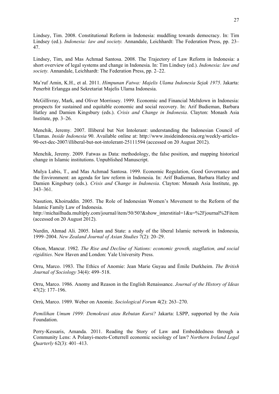Lindsey, Tim. 2008. Constitutional Reform in Indonesia: muddling towards democracy. In: Tim Lindsey (ed.). *Indonesia: law and society.* Annandale, Leichhardt: The Federation Press, pp. 23– 47.

Lindsey, Tim, and Mas Achmad Santosa. 2008. The Trajectory of Law Reform in Indonesia: a short overview of legal systems and change in Indonesia. In: Tim Lindsey (ed.). *Indonesia: law and society.* Annandale, Leichhardt: The Federation Press, pp. 2–22.

Ma'ruf Amin, K.H., et al. 2011. *Himpunan Fatwa: Majelis Ulama Indonesia Sejak 1975*. Jakarta: Penerbit Erlangga and Sekretariat Majelis Ulama Indonesia.

McGillivray, Mark, and Oliver Morrissey. 1999. Economic and Financial Meltdown in Indonesia: prospects for sustained and equitable economic and social recovery. In: Arif Budieman, Barbara Hatley and Damien Kingsbury (eds.). *Crisis and Change in Indonesia*. Clayton: Monash Asia Institute, pp. 3–26.

Menchik, Jeremy. 2007. Illiberal but Not Intolerant: understanding the Indonesian Council of Ulamas. *Inside Indonesia* 90. Available online at: http://www.insideindonesia.org/weekly-articles-90-oct-dec-2007/illiberal-but-not-intolerant-25111594 (accessed on 20 August 2012).

Menchik, Jeremy. 2009. Fatwas as Data: methodology, the false position, and mapping historical change in Islamic institutions. Unpublished Manuscript.

Mulya Lubis, T., and Mas Achmad Santosa. 1999. Economic Regulation, Good Governance and the Environment: an agenda for law reform in Indonesia. In: Arif Budieman, Barbara Hatley and Damien Kingsbury (eds.). *Crisis and Change in Indonesia*. Clayton: Monash Asia Institute, pp. 343–361.

Nasution, Khoiruddin. 2005. The Role of Indonesian Women's Movement to the Reform of the Islamic Family Law of Indonesia.

http://michailhuda.multiply.com/journal/item/50/50?&show\_interstitial=1&u=%2Fjournal%2Fitem (accessed on 20 August 2012).

Nurdin, Ahmad Ali. 2005. Islam and State: a study of the liberal Islamic network in Indonesia, 1999–2004. *New Zealand Journal of Asian Studies* 7(2): 20–29.

Olson, Mancur. 1982. *The Rise and Decline of Nations: economic growth, stagflation, and social rigidities*. New Haven and London: Yale University Press.

Orru, Marco. 1983. The Ethics of Anomie: Jean Marie Guyau and Émile Durkheim. *The British Journal of Sociology* 34(4): 499–518.

Orru, Marco. 1986. Anomy and Reason in the English Renaissance. *Journal of the History of Ideas* 47(2): 177–196.

Orrù, Marco. 1989. Weber on Anomie. *Sociological Forum* 4(2): 263–270.

*Pemilihan Umum 1999: Demokrasi atau Rebutan Kursi?* Jakarta: LSPP, supported by the Asia Foundation.

Perry-Kessaris, Amanda. 2011. Reading the Story of Law and Embeddedness through a Community Lens: A Polanyi-meets-Cotterrell economic sociology of law? *Northern Ireland Legal Quarterly* 62(3): 401–413.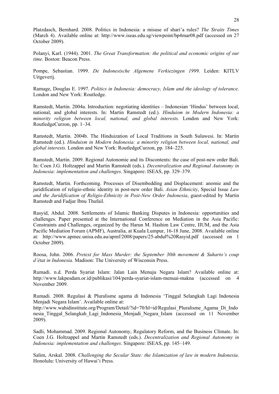Platzdasch, Bernhard. 2008. Politics in Indonesia: a misuse of shari'a rules? *The Straits Times* (March 4). Available online at: http://www.iseas.edu.sg/viewpoint/bp4mar08.pdf (accessed on 27 October 2009).

Polanyi, Karl. (1944). 2001. *The Great Transformation: the political and economic origins of our time*. Boston: Beacon Press.

Pompe, Sebastian. 1999. *De Indonesische Algemene Verkiezingen 1999*. Leiden: KITLV Uitgeverij.

Ramage, Douglas E. 1997. *Politics in Indonesia: democracy, Islam and the ideology of tolerance*. London and New York: Routledge.

Ramstedt, Martin. 2004a. Introduction: negotiating identities – Indonesian 'Hindus' between local, national, and global interests. In: Martin Ramstedt (ed.). *Hinduism in Modern Indonesia: a minority religion between local, national, and global interests.* London and New York: RoutledgeCurzon, pp. 1–34.

Ramstedt, Martin. 2004b. The Hinduization of Local Traditions in South Sulawesi. In: Martin Ramstedt (ed.). *Hinduism in Modern Indonesia: a minority religion between local, national, and global interests.* London and New York: RoutledgeCurzon, pp. 184–225.

Ramstedt, Martin. 2009. Regional Autonomie and its Discontents: the case of post-new order Bali. In: Coen J.G. Holtzappel and Martin Ramstedt (eds.). *Decentralization and Regional Autonomy in Indonesia: implementation and challenges*. Singapore: ISEAS, pp. 329–379.

Ramstedt, Martin. Forthcoming. Processes of Disembedding and Displacement: anomie and the juridification of religio-ethnic identity in post-new order Bali. *Asian Ethnicity*, Special Issue *Law and the Juridification of Religio-Ethnicity in Post-New Order Indonesia*, guest-edited by Martin Ramstedt and Fadjar Ibnu Thufail.

Rasyid, Abdul. 2008. Settlements of Islamic Banking Disputes in Indonesia: opportunities and challenges. Paper presented at the International Conference on Mediation in the Asia Pacific: Constraints and Challenges, organized by the Harun M. Hashim Law Centre, IIUM, and the Asia Pacific Mediation Forum (APMF), Australia, at Kuala Lumpur, 16-18 June, 2008. Available online at: http://www.apmec.unisa.edu.au/apmf/2008/papers/25-abdul%20Rasyid.pdf (accessed on 1 October 2009).

Roosa, John. 2006. *Pretext for Mass Murder: the September 30th movement & Suharto's coup d'état in Indonesia*. Madison: The University of Wisconsin Press.

Rumadi. n.d. Perda Syariat Islam: Jalan Lain Menuju Negara Islam? Available online at: http://www.lakpesdam.or.id/publikasi/104/perda-syariat-islam-menuai-makna (accessed on 4 November 2009.

Rumadi. 2008. Regulasi & Pluralisme agama di Indonesia 'Tinggal Selangkah Lagi Indonesia Menjadi Negara Islam'. Available online at:

http://www.wahidinstitute.org/Program/Detail/?id=70/hl=id/Regulasi\_Pluralisme\_Agama\_Di\_Indo nesia\_Tinggal\_Selangkah\_Lagi\_Indonesia\_Menjadi\_Negara\_Islam (accessed on 11 November 2009).

Sadli, Mohammad. 2009. Regional Autonomy, Regulatory Reform, and the Business Climate. In: Coen J.G. Holtzappel and Martin Ramstedt (eds.). *Decentralization and Regional Autonomy in Indonesia: implementation and challenges*. Singapore: ISEAS, pp. 145–149.

Salim, Arskal. 2008. *Challenging the Secular State: the Islamization of law in modern Indonesia*. Honolulu: University of Hawai'i Press.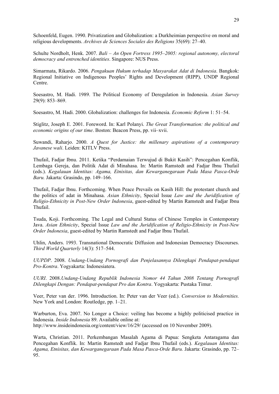Schoenfeld, Eugen. 1990. Privatization and Globalization: a Durkheimian perspective on moral and religious developments. *Archives de Sciences Sociales des Religions* 35(69): 27–40.

Schulte Nordholt, Henk. 2007. *Bali – An Open Fortress 1995–2005: regional autonomy, electoral democracy and entrenched identities*. Singapore: NUS Press.

Simarmata, Rikardo. 2006. *Pengakuan Hukum terhadap Masyarakat Adat di Indonesia*. Bangkok: Regional Initiative on Indigenous Peoples' Rights and Development (RIPP), UNDP Regional Centre.

Soesastro, M. Hadi. 1989. The Political Economy of Deregulation in Indonesia. *Asian Survey* 29(9): 853–869.

Soesastro, M. Hadi. 2000. Globalization: challenges for Indonesia. *Economic Reform* 1: 51–54.

Stiglitz, Joseph E. 2001. Foreword. In: Karl Polanyi. *The Great Transformation: the political and economic origins of our time*. Boston: Beacon Press, pp. vii–xvii.

Suwandi, Raharjo. 2000. *A Quest for Justice: the millenary aspirations of a contemporary Javanese wali*. Leiden: KITLV Press.

Thufail, Fadjar Ibnu. 2011. Ketika "Perdamaian Terwujud di Bukit Kasih": Pencegahan Konflik, Lembaga Gereja, dan Politik Adat di Minahasa. In: Martin Ramstedt and Fadjar Ibnu Thufail (eds.). *Kegalauan Identitas: Agama, Etnisitas, dan Kewarganegaraan Pada Masa Pasca-Orde Baru.* Jakarta: Grasindo, pp. 149–166.

Thufail, Fadjar Ibnu. Forthcoming. When Peace Prevails on Kasih Hill: the protestant church and the politics of adat in Minahasa. *Asian Ethnicity*, Special Issue *Law and the Juridification of Religio-Ethnicity in Post-New Order Indonesia*, guest-edited by Martin Ramstedt and Fadjar Ibnu Thufail.

Tsuda, Koji. Forthcoming. The Legal and Cultural Status of Chinese Temples in Contemporary Java. *Asian Ethnicity*, Special Issue *Law and the Juridification of Religio-Ethnicity in Post-New Order Indonesia*, guest-edited by Martin Ramstedt and Fadjar Ibnu Thufail.

Uhlin, Anders. 1993. Transnational Democratic Diffusion and Indonesian Democracy Discourses. *Third World Quarterly* 14(3): 517–544.

*UUPDP*. 2008. *Undang-Undang Pornografi dan Penjelasannya Dilengkapi Pendapat-pendapat Pro-Kontra*. Yogyakarta: Indonesiatera.

*UURI*. 2008.*Undang-Undang Republik Indonesia Nomor 44 Tahun 2008 Tentang Pornografi Dilengkapi Dengan: Pendapat-pendapat Pro dan Kontra*. Yogyakarta: Pustaka Timur.

Veer, Peter van der. 1996. Introduction. In: Peter van der Veer (ed.). *Conversion to Modernities.* New York and London: Routledge, pp. 1–21.

Warburton, Eva. 2007. No Longer a Choice: veiling has become a highly politicised practice in Indonesia. *Inside Indonesia* 89. Available online at: http://www.insideindonesia.org/content/view/16/29/ (accessed on 10 November 2009).

Warta, Christian. 2011. Perkembangan Masalah Agama di Papua: Sengketa Antaragama dan Pencegahan Konflik. In: Martin Ramstedt and Fadjar Ibnu Thufail (eds.). *Kegalauan Identitas: Agama, Etnisitas, dan Kewarganegaraan Pada Masa Pasca-Orde Baru.* Jakarta: Grasindo, pp. 72– 95.